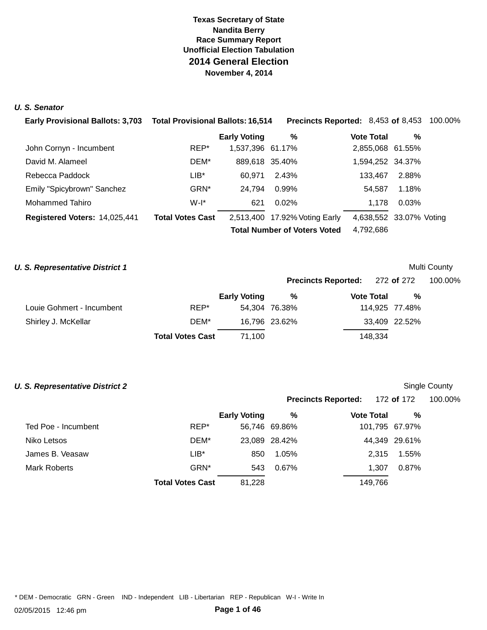### **U. S. Senator**

| <b>Early Provisional Ballots: 3,703</b> | <b>Total Provisional Ballots: 16,514</b> |                     | <b>Precincts Reported: 8,453 of 8,453 100.00%</b> |                         |       |  |
|-----------------------------------------|------------------------------------------|---------------------|---------------------------------------------------|-------------------------|-------|--|
|                                         |                                          | <b>Early Voting</b> | %                                                 | <b>Vote Total</b>       | %     |  |
| John Cornyn - Incumbent                 | REP*                                     | 1,537,396 61.17%    |                                                   | 2,855,068 61.55%        |       |  |
| David M. Alameel                        | DEM*                                     | 889,618 35.40%      |                                                   | 1,594,252 34.37%        |       |  |
| Rebecca Paddock                         | LIB*                                     | 60.971              | 2.43%                                             | 133.467                 | 2.88% |  |
| Emily "Spicybrown" Sanchez              | GRN*                                     | 24.794              | 0.99%                                             | 54,587                  | 1.18% |  |
| <b>Mohammed Tahiro</b>                  | $W-I^*$                                  | 621                 | $0.02\%$                                          | 1.178                   | 0.03% |  |
| Registered Voters: 14,025,441           | <b>Total Votes Cast</b>                  |                     | 2,513,400 17.92% Voting Early                     | 4,638,552 33.07% Voting |       |  |
|                                         |                                          |                     | <b>Total Number of Voters Voted</b>               | 4,792,686               |       |  |

### **U. S. Representative District 1 Multi County Multi County Multi County**

|         | <b>Precincts Reported:</b> | 272 of 272         | 100.00% |
|---------|----------------------------|--------------------|---------|
| %       | <b>Vote Total</b>          | %                  |         |
| 'ና 38%. |                            | $114975$ 77 $48\%$ |         |

**Precincts Reported:** 172 **of** 172 100.00%

|                           |                         | <b>Early Voting</b> | %             | <b>Vote Total</b> | %             |
|---------------------------|-------------------------|---------------------|---------------|-------------------|---------------|
| Louie Gohmert - Incumbent | REP*                    |                     | 54,304 76.38% | 114.925 77.48%    |               |
| Shirley J. McKellar       | DEM*                    |                     | 16,796 23.62% |                   | 33,409 22.52% |
|                           | <b>Total Votes Cast</b> | 71.100              |               | 148.334           |               |

### **U. S. Representative District 2 Single County County Single County Single County**

|                     |                         | <b>Early Voting</b> | %     | <b>Vote Total</b> | %              |
|---------------------|-------------------------|---------------------|-------|-------------------|----------------|
| Ted Poe - Incumbent | REP*                    | 56,746 69.86%       |       |                   | 101,795 67.97% |
| Niko Letsos         | DEM*                    | 23,089 28.42%       |       |                   | 44,349 29.61%  |
| James B. Veasaw     | $LIB*$                  | 850                 | 1.05% | 2.315             | 1.55%          |
| Mark Roberts        | GRN <sup>*</sup>        | 543                 | 0.67% | 1.307             | 0.87%          |
|                     | <b>Total Votes Cast</b> | 81,228              |       | 149,766           |                |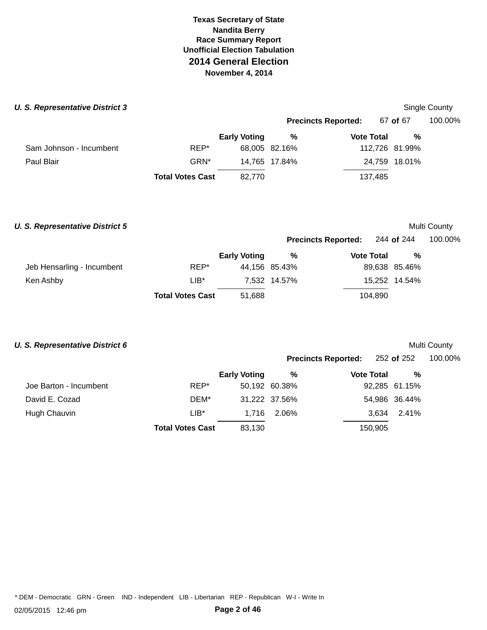| <b>U. S. Representative District 3</b> |                         |                     |               |                            |                | Single County |
|----------------------------------------|-------------------------|---------------------|---------------|----------------------------|----------------|---------------|
|                                        |                         |                     |               | <b>Precincts Reported:</b> | 67 of 67       | 100.00%       |
|                                        |                         | <b>Early Voting</b> | %             | <b>Vote Total</b>          | %              |               |
| Sam Johnson - Incumbent                | REP*                    |                     | 68,005 82.16% |                            | 112,726 81.99% |               |
| Paul Blair                             | GRN*                    |                     | 14.765 17.84% |                            | 24,759 18.01%  |               |
|                                        | <b>Total Votes Cast</b> | 82,770              |               | 137,485                    |                |               |

### **U. S. Representative District 5 Multi County Multi County Multi County**

**Precincts Reported:** 244 **of** 244 100.00%

|                            |                         | <b>Early Voting</b> | %             | <b>Vote Total</b> | %             |
|----------------------------|-------------------------|---------------------|---------------|-------------------|---------------|
| Jeb Hensarling - Incumbent | REP*                    |                     | 44,156 85.43% |                   | 89,638 85.46% |
| Ken Ashby                  | LIB*                    |                     | 7,532 14.57%  |                   | 15,252 14.54% |
|                            | <b>Total Votes Cast</b> | 51.688              |               | 104.890           |               |

# **U. S. Representative District 6 Multi County Multi County Multi County**

|                        |                         |                     | <b>Precincts Reported:</b> |                   | 252 of 252 |               | 100.00% |
|------------------------|-------------------------|---------------------|----------------------------|-------------------|------------|---------------|---------|
|                        |                         | <b>Early Voting</b> | %                          | <b>Vote Total</b> |            | %             |         |
| Joe Barton - Incumbent | REP*                    |                     | 50,192 60.38%              |                   |            | 92,285 61.15% |         |
| David E. Cozad         | DEM*                    |                     | 31,222 37.56%              |                   |            | 54,986 36.44% |         |
| Hugh Chauvin           | $LIB^*$                 | 1.716               | 2.06%                      |                   | 3.634      | 2.41%         |         |
|                        | <b>Total Votes Cast</b> | 83,130              |                            |                   | 150,905    |               |         |
|                        |                         |                     |                            |                   |            |               |         |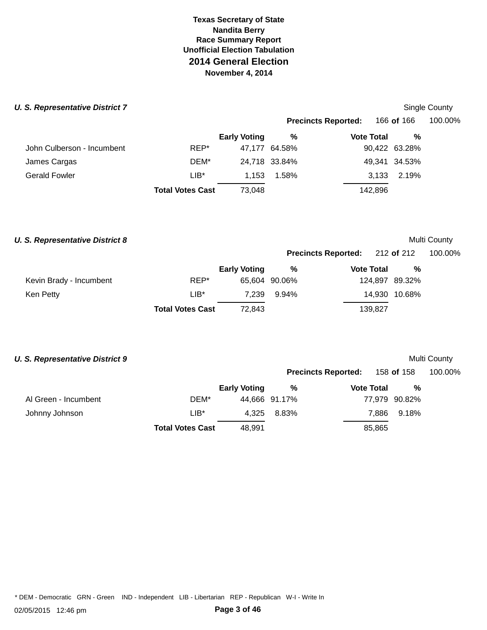### **U. S. Representative District 7 Single County 3 Single County 3 and 2 Single County 3 and 3 and 3 and 3 and 3 and 3 and 3 and 3 and 3 and 3 and 3 and 3 and 3 and 3 and 3 and 3 and 3 and 3 and 3 and 3 and 3 and 3 and**

|                            |                         |                     |               | <b>Precincts Reported:</b> | 166 <b>of</b> 166 | 100.00% |
|----------------------------|-------------------------|---------------------|---------------|----------------------------|-------------------|---------|
|                            |                         | <b>Early Voting</b> | %             | <b>Vote Total</b>          | %                 |         |
| John Culberson - Incumbent | REP*                    |                     | 47,177 64.58% |                            | 90,422 63.28%     |         |
| James Cargas               | DEM*                    |                     | 24,718 33.84% |                            | 49,341 34.53%     |         |
| Gerald Fowler              | $LIB*$                  | 1.153               | 1.58%         | 3,133                      | 2.19%             |         |
|                            | <b>Total Votes Cast</b> | 73,048              |               | 142,896                    |                   |         |
|                            |                         |                     |               |                            |                   |         |

### **U. S. Representative District 8 Multi County Multi County Multi County**

# **Precincts Reported:** 212 **of** 212 100.00% **Early Voting % Vote Total %**

**Precincts Reported:** 158 **of** 158 100.00%

|                         |                         | Lany Volny | <i>1</i> U    | TULU TULUT | 70 V           |
|-------------------------|-------------------------|------------|---------------|------------|----------------|
| Kevin Brady - Incumbent | REP*                    |            | 65,604 90.06% |            | 124,897 89.32% |
| Ken Petty               | LIB*                    |            | 7.239 9.94%   |            | 14.930 10.68%  |
|                         | <b>Total Votes Cast</b> | 72.843     |               | 139.827    |                |

# **U. S. Representative District 9 Multi County Multi County Multi County**

|                      |                         | <b>Early Voting</b> | %             | <b>Vote Total</b> | %             |
|----------------------|-------------------------|---------------------|---------------|-------------------|---------------|
| Al Green - Incumbent | DEM*                    |                     | 44,666 91.17% |                   | 77,979 90.82% |
| Johnny Johnson       | LIB*                    | 4.325               | 8.83%         |                   | 7.886 9.18%   |
|                      | <b>Total Votes Cast</b> | 48.991              |               | 85,865            |               |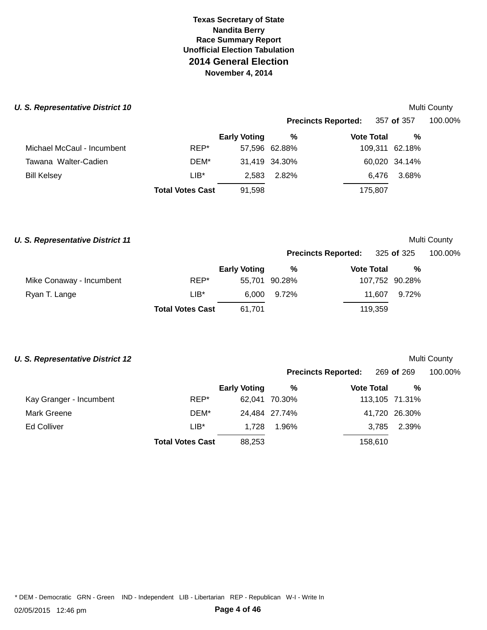# **U. S. Representative District 10 Multi County Multi County Multi County Multi County**

|                            |                         |                     |               | <b>Precincts Reported:</b> | 357 of 357     | 100.00% |
|----------------------------|-------------------------|---------------------|---------------|----------------------------|----------------|---------|
|                            |                         | <b>Early Voting</b> | %             | <b>Vote Total</b>          | %              |         |
| Michael McCaul - Incumbent | REP*                    |                     | 57,596 62.88% |                            | 109,311 62.18% |         |
| Tawana Walter-Cadien       | DEM*                    |                     | 31,419 34.30% |                            | 60,020 34.14%  |         |
| <b>Bill Kelsey</b>         | $LIB*$                  | 2.583               | 2.82%         | 6.476                      | 3.68%          |         |
|                            | <b>Total Votes Cast</b> | 91,598              |               | 175,807                    |                |         |
|                            |                         |                     |               |                            |                |         |

### **U. S. Representative District 11 Multi County Multi County Multi County**

|                          |                         |                     |               | <b>Precincts Reported:</b> | 325 <b>of</b> 325 |                | 100.00% |
|--------------------------|-------------------------|---------------------|---------------|----------------------------|-------------------|----------------|---------|
|                          |                         | <b>Early Voting</b> | %             | <b>Vote Total</b>          |                   | %              |         |
| Mike Conaway - Incumbent | REP*                    |                     | 55,701 90.28% |                            |                   | 107,752 90.28% |         |
| Ryan T. Lange            | $LIB*$                  |                     | 6,000 9.72%   |                            | 11.607            | 9.72%          |         |
|                          | <b>Total Votes Cast</b> | 61,701              |               |                            | 119,359           |                |         |

# **U. S. Representative District 12 Multi County Multi County Multi County**

|                         |                         |                     |               | <b>Precincts Reported:</b> | 269 of 269     | 100.00% |
|-------------------------|-------------------------|---------------------|---------------|----------------------------|----------------|---------|
|                         |                         | <b>Early Voting</b> | %             | <b>Vote Total</b>          | %              |         |
| Kay Granger - Incumbent | REP*                    |                     | 62.041 70.30% |                            | 113,105 71.31% |         |
| <b>Mark Greene</b>      | DEM*                    |                     | 24,484 27.74% |                            | 41,720 26.30%  |         |
| <b>Ed Colliver</b>      | $LIB*$                  | 1,728               | 1.96%         | 3,785                      | 2.39%          |         |
|                         | <b>Total Votes Cast</b> | 88.253              |               | 158,610                    |                |         |
|                         |                         |                     |               |                            |                |         |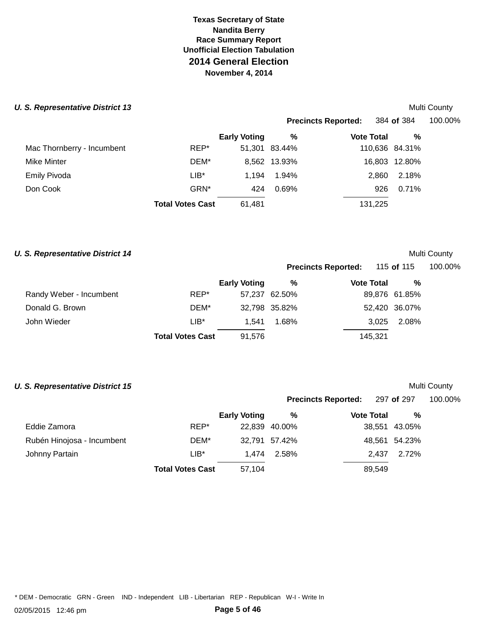| <b>U. S. Representative District 13</b> |                         |                     |               |                            |                   |                | Multi County |
|-----------------------------------------|-------------------------|---------------------|---------------|----------------------------|-------------------|----------------|--------------|
|                                         |                         |                     |               | <b>Precincts Reported:</b> |                   | 384 of 384     | 100.00%      |
|                                         |                         | <b>Early Voting</b> | %             |                            | <b>Vote Total</b> | %              |              |
| Mac Thornberry - Incumbent              | REP*                    |                     | 51,301 83.44% |                            |                   | 110,636 84.31% |              |
| Mike Minter                             | DEM*                    |                     | 8,562 13.93%  |                            |                   | 16,803 12.80%  |              |
| <b>Emily Pivoda</b>                     | $LIB*$                  | 1.194               | 1.94%         |                            | 2,860             | 2.18%          |              |
| Don Cook                                | GRN <sup>*</sup>        | 424                 | 0.69%         |                            | 926               | 0.71%          |              |
|                                         | <b>Total Votes Cast</b> | 61,481              |               |                            | 131,225           |                |              |

# **U. S. Representative District 14 Multi County** *Multi County* **Multi County**

| <b>Precincts Reported:</b> |                   | 115 of 115 |   | 100.00% |
|----------------------------|-------------------|------------|---|---------|
| $\frac{0}{6}$              | <b>Vote Total</b> |            | % |         |

**Precincts Reported:** 297 **of** 297 100.00%

|                         |                         | <b>Early Voting</b> | %             | <b>Vote Total</b> | $\%$          |
|-------------------------|-------------------------|---------------------|---------------|-------------------|---------------|
| Randy Weber - Incumbent | REP*                    |                     | 57.237 62.50% |                   | 89,876 61.85% |
| Donald G. Brown         | DEM*                    |                     | 32,798 35.82% |                   | 52,420 36.07% |
| John Wieder             | $LIB^*$                 | 1.541               | 1.68%         | 3.025             | 2.08%         |
|                         | <b>Total Votes Cast</b> | 91.576              |               | 145.321           |               |

# **U. S. Representative District 15 Multi County** *Multi County*

|                            |                         | <b>Early Voting</b> | %             | <b>Vote Total</b> | %             |
|----------------------------|-------------------------|---------------------|---------------|-------------------|---------------|
| Eddie Zamora               | REP*                    |                     | 22,839 40.00% |                   | 38,551 43.05% |
| Rubén Hinojosa - Incumbent | DEM*                    |                     | 32,791 57.42% |                   | 48,561 54.23% |
| Johnny Partain             | $LIB*$                  |                     | 1.474 2.58%   | 2.437             | 2.72%         |
|                            | <b>Total Votes Cast</b> | 57,104              |               | 89,549            |               |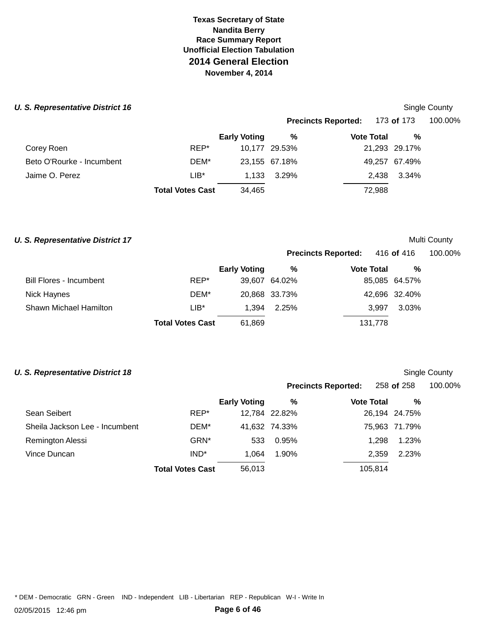| <b>U. S. Representative District 16</b> |                         |                     |               |                            |                   | Single County |
|-----------------------------------------|-------------------------|---------------------|---------------|----------------------------|-------------------|---------------|
|                                         |                         |                     |               | <b>Precincts Reported:</b> | 173 <b>of</b> 173 | 100.00%       |
|                                         |                         | <b>Early Voting</b> | %             | <b>Vote Total</b>          | %                 |               |
| Corey Roen                              | REP*                    |                     | 10,177 29.53% |                            | 21,293 29.17%     |               |
| Beto O'Rourke - Incumbent               | DEM*                    |                     | 23,155 67.18% |                            | 49,257 67.49%     |               |
| Jaime O. Perez                          | $LIB*$                  | 1.133               | 3.29%         | 2.438                      | 3.34%             |               |
|                                         | <b>Total Votes Cast</b> | 34,465              |               | 72,988                     |                   |               |

### **U. S. Representative District 17 Multi County** *Multi County* **Multi County**

# **Precincts Reported:** 416 **of** 416 100.00%

|                               |                         | <b>Early Voting</b> | %             | <b>Vote Total</b> | %             |
|-------------------------------|-------------------------|---------------------|---------------|-------------------|---------------|
| Bill Flores - Incumbent       | REP*                    |                     | 39.607 64.02% |                   | 85,085 64.57% |
| Nick Haynes                   | DEM*                    |                     | 20,868 33.73% |                   | 42,696 32.40% |
| <b>Shawn Michael Hamilton</b> | $LIB*$                  | 1.394               | 2.25%         | 3.997             | 3.03%         |
|                               | <b>Total Votes Cast</b> | 61,869              |               | 131,778           |               |

# **U. S. Representative District 18 Single County County County County County County Single County Single County**

|                                |                         |                     | <b>Precincts Reported:</b> |                   | 258 of 258 |               | 100.00% |
|--------------------------------|-------------------------|---------------------|----------------------------|-------------------|------------|---------------|---------|
|                                |                         | <b>Early Voting</b> | %                          | <b>Vote Total</b> |            | %             |         |
| Sean Seibert                   | REP*                    |                     | 12,784 22.82%              |                   |            | 26,194 24.75% |         |
| Sheila Jackson Lee - Incumbent | DEM*                    |                     | 41,632 74.33%              |                   |            | 75,963 71.79% |         |
| Remington Alessi               | GRN*                    | 533                 | 0.95%                      |                   | 1.298      | 1.23%         |         |
| Vince Duncan                   | IND <sup>*</sup>        | 1.064               | 1.90%                      |                   | 2,359      | 2.23%         |         |
|                                | <b>Total Votes Cast</b> | 56,013              |                            |                   | 105,814    |               |         |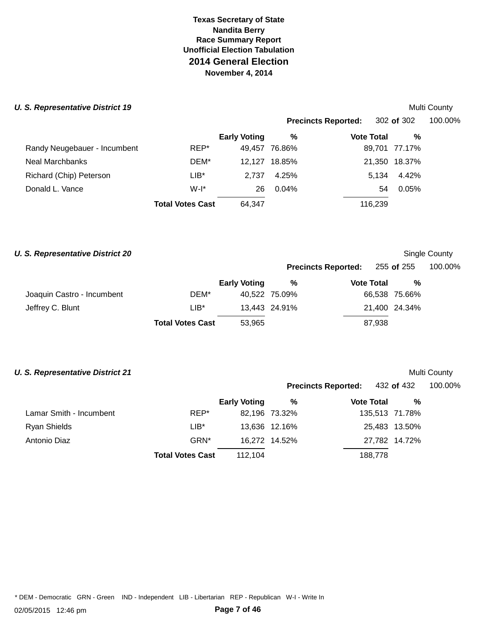| <b>U. S. Representative District 19</b> |                         |                     |          |                            |         |               | Multi County |
|-----------------------------------------|-------------------------|---------------------|----------|----------------------------|---------|---------------|--------------|
|                                         |                         |                     |          | <b>Precincts Reported:</b> |         | 302 of 302    | 100.00%      |
|                                         |                         | <b>Early Voting</b> | %        | <b>Vote Total</b>          |         | %             |              |
| Randy Neugebauer - Incumbent            | REP*                    | 49,457              | 76.86%   |                            |         | 89,701 77.17% |              |
| <b>Neal Marchbanks</b>                  | DEM*                    | 12.127              | 18.85%   |                            |         | 21,350 18.37% |              |
| Richard (Chip) Peterson                 | $LIB*$                  | 2.737               | 4.25%    |                            | 5.134   | 4.42%         |              |
| Donald L. Vance                         | $W-I^*$                 | 26                  | $0.04\%$ |                            | 54      | 0.05%         |              |
|                                         | <b>Total Votes Cast</b> | 64,347              |          |                            | 116,239 |               |              |

# **U. S. Representative District 20 Single County County County County County County Single County Single County**

|                            |                         |                     |               | <b>Precincts Reported:</b> 255 of 255 |               | 100.00% |
|----------------------------|-------------------------|---------------------|---------------|---------------------------------------|---------------|---------|
|                            |                         | <b>Early Voting</b> | %             | <b>Vote Total</b>                     | %             |         |
| Joaquin Castro - Incumbent | DEM*                    |                     | 40.522 75.09% |                                       | 66,538 75.66% |         |
| Jeffrey C. Blunt           | $LIB^*$                 |                     | 13,443 24.91% |                                       | 21,400 24.34% |         |
|                            | <b>Total Votes Cast</b> | 53,965              |               | 87,938                                |               |         |

# **U. S. Representative District 21 Multi County** *Multi County*

|                         |                         |                     |               | <b>Precincts Reported:</b> 432 of 432 |                | 100.00% |
|-------------------------|-------------------------|---------------------|---------------|---------------------------------------|----------------|---------|
|                         |                         | <b>Early Voting</b> | %             | <b>Vote Total</b>                     | %              |         |
| Lamar Smith - Incumbent | REP*                    |                     | 82,196 73.32% |                                       | 135,513 71.78% |         |
| Ryan Shields            | LIB*                    |                     | 13,636 12.16% |                                       | 25,483 13.50%  |         |
| Antonio Diaz            | GRN <sup>*</sup>        |                     | 16,272 14.52% |                                       | 27,782 14.72%  |         |
|                         | <b>Total Votes Cast</b> | 112.104             |               |                                       | 188,778        |         |
|                         |                         |                     |               |                                       |                |         |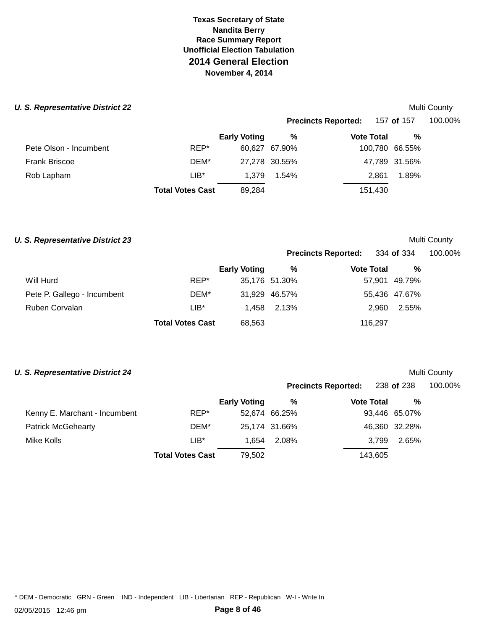### **U. S. Representative District 22 Multi County** *Multi County* **Multi County**

|                        |                         |                     | <b>Precincts Reported:</b> |                   | 157 of 157     | 100.00% |  |
|------------------------|-------------------------|---------------------|----------------------------|-------------------|----------------|---------|--|
|                        |                         | <b>Early Voting</b> | %                          | <b>Vote Total</b> | %              |         |  |
| Pete Olson - Incumbent | REP*                    |                     | 60,627 67.90%              |                   | 100,780 66.55% |         |  |
| <b>Frank Briscoe</b>   | DEM*                    |                     | 27,278 30.55%              |                   | 47,789 31.56%  |         |  |
| Rob Lapham             | $LIB*$                  | 1.379               | 1.54%                      | 2.861             | 1.89%          |         |  |
|                        | <b>Total Votes Cast</b> | 89,284              |                            | 151,430           |                |         |  |
|                        |                         |                     |                            |                   |                |         |  |

### **U. S. Representative District 23 Multi County** *Multi County* **Multi County**

**Precincts Reported:** 334 **of** 334 100.00%

|                             |                         | <b>Early Voting</b> | %             | <b>Vote Total</b> | $\%$          |
|-----------------------------|-------------------------|---------------------|---------------|-------------------|---------------|
| Will Hurd                   | REP*                    |                     | 35,176 51.30% |                   | 57,901 49.79% |
| Pete P. Gallego - Incumbent | DEM*                    |                     | 31,929 46.57% |                   | 55,436 47.67% |
| Ruben Corvalan              | $LIB*$                  |                     | 1.458 2.13%   | 2.960             | 2.55%         |
|                             | <b>Total Votes Cast</b> | 68,563              |               | 116.297           |               |

# **U. S. Representative District 24 Multi County** *Multi County* **Multi County**

|                               |                         |                     |               | <b>Precincts Reported:</b> | 238 <b>of</b> 238 | 100.00% |  |
|-------------------------------|-------------------------|---------------------|---------------|----------------------------|-------------------|---------|--|
|                               |                         | <b>Early Voting</b> | %             | <b>Vote Total</b>          | %                 |         |  |
| Kenny E. Marchant - Incumbent | REP*                    |                     | 52,674 66.25% |                            | 93,446 65.07%     |         |  |
| <b>Patrick McGehearty</b>     | DEM*                    |                     | 25,174 31.66% |                            | 46,360 32.28%     |         |  |
| Mike Kolls                    | LIB*                    | 1.654               | 2.08%         | 3.799                      | 2.65%             |         |  |
|                               | <b>Total Votes Cast</b> | 79,502              |               | 143,605                    |                   |         |  |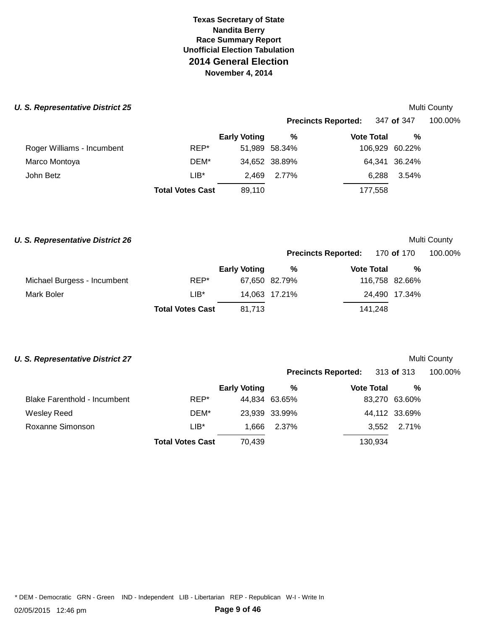### **U. S. Representative District 25 Multi County** *Multi County* **Multi County**

|                            |                         |                     |               | <b>Precincts Reported:</b> | 347 <b>of</b> 347 | 100.00% |
|----------------------------|-------------------------|---------------------|---------------|----------------------------|-------------------|---------|
|                            |                         | <b>Early Voting</b> | %             | <b>Vote Total</b>          | %                 |         |
| Roger Williams - Incumbent | REP*                    |                     | 51,989 58.34% |                            | 106,929 60.22%    |         |
| Marco Montoya              | DEM*                    |                     | 34,652 38.89% |                            | 64,341 36.24%     |         |
| John Betz                  | $LIB*$                  | 2.469               | 2.77%         | 6.288                      | 3.54%             |         |
|                            | <b>Total Votes Cast</b> | 89,110              |               | 177,558                    |                   |         |
|                            |                         |                     |               |                            |                   |         |

### **U. S. Representative District 26 Multi County** *Multi County*

|                             |                         |                     | <b>Precincts Reported:</b> 170 of 170 |                   |                | 100.00% |
|-----------------------------|-------------------------|---------------------|---------------------------------------|-------------------|----------------|---------|
|                             |                         | <b>Early Voting</b> | %                                     | <b>Vote Total</b> | %              |         |
| Michael Burgess - Incumbent | REP*                    |                     | 67,650 82.79%                         |                   | 116,758 82.66% |         |
| Mark Boler                  | $LIB*$                  |                     | 14,063 17.21%                         |                   | 24.490 17.34%  |         |
|                             | <b>Total Votes Cast</b> | 81.713              |                                       | 141.248           |                |         |

# **U. S. Representative District 27 Multi County** *Multi County* **Multi County**

|                     |                         |                                         |                            | 100.00%                                      |
|---------------------|-------------------------|-----------------------------------------|----------------------------|----------------------------------------------|
| <b>Early Voting</b> | %                       | <b>Vote Total</b>                       | %                          |                                              |
|                     |                         |                                         |                            |                                              |
|                     |                         |                                         |                            |                                              |
|                     | 2.37%                   | 3,552                                   | 2.71%                      |                                              |
| 70.439              |                         | 130,934                                 |                            |                                              |
|                     | <b>Total Votes Cast</b> | 44,834 63.65%<br>23,939 33.99%<br>1,666 | <b>Precincts Reported:</b> | 313 of 313<br>83,270 63.60%<br>44,112 33.69% |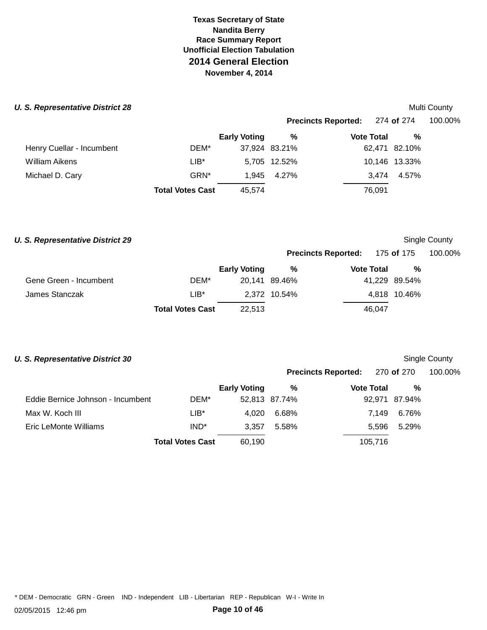### **U. S. Representative District 28**

| S. Representative District 28 |                         |                     |               |                            |               | Multi County |
|-------------------------------|-------------------------|---------------------|---------------|----------------------------|---------------|--------------|
|                               |                         |                     |               | <b>Precincts Reported:</b> | 274 of 274    | 100.00%      |
|                               |                         | <b>Early Voting</b> | %             | <b>Vote Total</b>          | %             |              |
| Henry Cuellar - Incumbent     | DEM*                    |                     | 37,924 83.21% |                            | 62,471 82.10% |              |
| William Aikens                | $LIB*$                  |                     | 5,705 12.52%  |                            | 10,146 13.33% |              |
| Michael D. Cary               | GRN*                    | 1.945               | 4.27%         | 3.474                      | 4.57%         |              |
|                               | <b>Total Votes Cast</b> | 45,574              |               | 76.091                     |               |              |

### **U. S. Representative District 29** *COUNTY COUNTY COUNTY COUNTY* **COUNTY COUNTY COUNTY COUNTY COUNTY COUNTY COUNTY**

# **Precincts Reported:** 175 **of** 175 100.00%

|                        |                         | <b>Early Voting</b> | %             | <b>Vote Total</b> | %             |
|------------------------|-------------------------|---------------------|---------------|-------------------|---------------|
| Gene Green - Incumbent | DEM*                    |                     | 20.141 89.46% |                   | 41.229 89.54% |
| James Stanczak         | $LIB*$                  |                     | 2.372 10.54%  |                   | 4.818 10.46%  |
|                        | <b>Total Votes Cast</b> | 22.513              |               | 46.047            |               |

# **U. S. Representative District 30** *CONDUCTER COUNTY CONDUCTER SINGLE COUNTY* **<b>Single County**

|                                   |                         |                     |               | <b>Precincts Reported:</b> | 270 <b>of</b> 270 | 100.00% |
|-----------------------------------|-------------------------|---------------------|---------------|----------------------------|-------------------|---------|
|                                   |                         | <b>Early Voting</b> | %             | <b>Vote Total</b>          | %                 |         |
| Eddie Bernice Johnson - Incumbent | DEM*                    |                     | 52,813 87.74% |                            | 92,971 87.94%     |         |
| Max W. Koch III                   | LIB*                    | 4,020               | 6.68%         | 7.149                      | 6.76%             |         |
| Eric LeMonte Williams             | IND <sup>*</sup>        | 3.357               | 5.58%         | 5.596                      | 5.29%             |         |
|                                   | <b>Total Votes Cast</b> | 60.190              |               | 105,716                    |                   |         |
|                                   |                         |                     |               |                            |                   |         |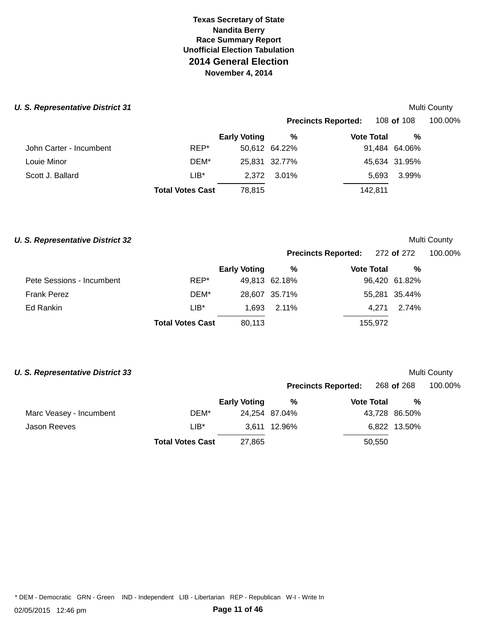### **U. S. Representative District 31 Multi County** *Multi County* **Multi County**

|                         |                         |                     |               | <b>Precincts Reported:</b> | 108 of 108    | 100.00% |
|-------------------------|-------------------------|---------------------|---------------|----------------------------|---------------|---------|
|                         |                         | <b>Early Voting</b> | %             | <b>Vote Total</b>          | %             |         |
| John Carter - Incumbent | REP*                    |                     | 50,612 64.22% |                            | 91,484 64.06% |         |
| Louie Minor             | DEM*                    |                     | 25,831 32.77% |                            | 45,634 31.95% |         |
| Scott J. Ballard        | $LIB*$                  |                     | 2.372 3.01%   | 5,693                      | 3.99%         |         |
|                         | <b>Total Votes Cast</b> | 78,815              |               | 142,811                    |               |         |
|                         |                         |                     |               |                            |               |         |

### **U. S. Representative District 32 Multi County** *Multi County*

# **Precincts Reported:** 272 **of** 272 100.00%

|                           |                         | <b>Early Voting</b> | %             | <b>Vote Total</b> | %             |
|---------------------------|-------------------------|---------------------|---------------|-------------------|---------------|
| Pete Sessions - Incumbent | REP*                    |                     | 49,813 62.18% |                   | 96,420 61.82% |
| Frank Perez               | DEM*                    |                     | 28,607 35.71% |                   | 55,281 35.44% |
| Ed Rankin                 | $LIB*$                  |                     | 1.693 2.11%   | 4.271             | 2.74%         |
|                           | <b>Total Votes Cast</b> | 80,113              |               | 155,972           |               |

# **U. S. Representative District 33 Multi County** *Multi County* **Multi County**

|                         |                         |                     |               | <b>Precincts Reported:</b> | 268 <b>of</b> 268 | 100.00% |  |
|-------------------------|-------------------------|---------------------|---------------|----------------------------|-------------------|---------|--|
|                         |                         | <b>Early Voting</b> | %             | <b>Vote Total</b>          | %                 |         |  |
| Marc Veasey - Incumbent | DEM*                    |                     | 24,254 87.04% |                            | 43,728 86.50%     |         |  |
| Jason Reeves            | $LIB*$                  |                     | 3,611 12.96%  |                            | 6,822 13.50%      |         |  |
|                         | <b>Total Votes Cast</b> | 27.865              |               | 50,550                     |                   |         |  |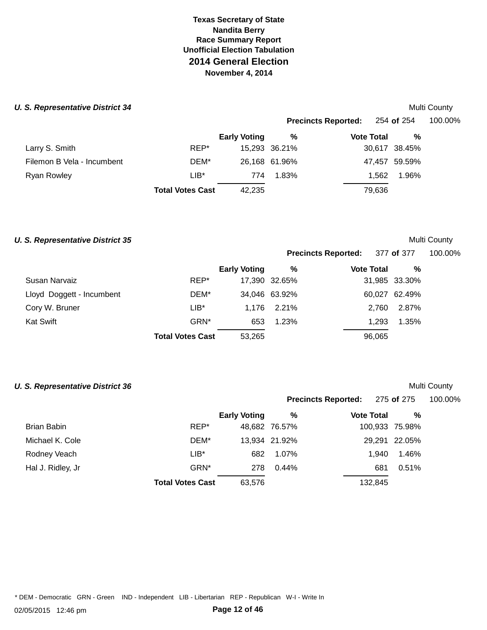### **U. S. Representative District 34 Multi County** *Multi County* **Multi County**

|                            |                         |                     |               | <b>Precincts Reported:</b> | 254 <b>of</b> 254 | 100.00% |
|----------------------------|-------------------------|---------------------|---------------|----------------------------|-------------------|---------|
|                            |                         | <b>Early Voting</b> | %             | <b>Vote Total</b>          | %                 |         |
| Larry S. Smith             | REP*                    |                     | 15,293 36.21% |                            | 30,617 38.45%     |         |
| Filemon B Vela - Incumbent | DEM*                    |                     | 26,168 61.96% |                            | 47,457 59.59%     |         |
| Ryan Rowley                | $LIB*$                  | 774                 | 1.83%         | 1.562                      | 1.96%             |         |
|                            | <b>Total Votes Cast</b> | 42,235              |               | 79,636                     |                   |         |
|                            |                         |                     |               |                            |                   |         |

### **U. S. Representative District 35 Multi County** *Multi County*

| <b>Precincts Reported:</b> | 377 of 377 | 100.00% |
|----------------------------|------------|---------|
|                            |            |         |

|                           |                         | <b>Early Voting</b> | %             | <b>Vote Total</b> | %             |
|---------------------------|-------------------------|---------------------|---------------|-------------------|---------------|
| Susan Narvaiz             | REP*                    |                     | 17,390 32.65% |                   | 31,985 33.30% |
| Lloyd Doggett - Incumbent | DEM*                    |                     | 34,046 63.92% |                   | 60,027 62.49% |
| Cory W. Bruner            | $LIB*$                  | 1.176               | 2.21%         | 2.760             | 2.87%         |
| Kat Swift                 | GRN <sup>*</sup>        | 653                 | 1.23%         | 1.293             | 1.35%         |
|                           | <b>Total Votes Cast</b> | 53,265              |               | 96,065            |               |

# **U. S. Representative District 36 Multi County** *Multi County*

|                   |                         |                     |               | <b>Precincts Reported:</b> |         | 275 of 275     | 100.00% |
|-------------------|-------------------------|---------------------|---------------|----------------------------|---------|----------------|---------|
|                   |                         | <b>Early Voting</b> | %             | <b>Vote Total</b>          |         | %              |         |
| Brian Babin       | REP*                    |                     | 48,682 76.57% |                            |         | 100,933 75.98% |         |
| Michael K. Cole   | DEM*                    |                     | 13,934 21.92% |                            |         | 29,291 22.05%  |         |
| Rodney Veach      | LIB*                    | 682                 | 1.07%         |                            | 1.940   | 1.46%          |         |
| Hal J. Ridley, Jr | GRN*                    | 278                 | $0.44\%$      |                            | 681     | 0.51%          |         |
|                   | <b>Total Votes Cast</b> | 63,576              |               |                            | 132,845 |                |         |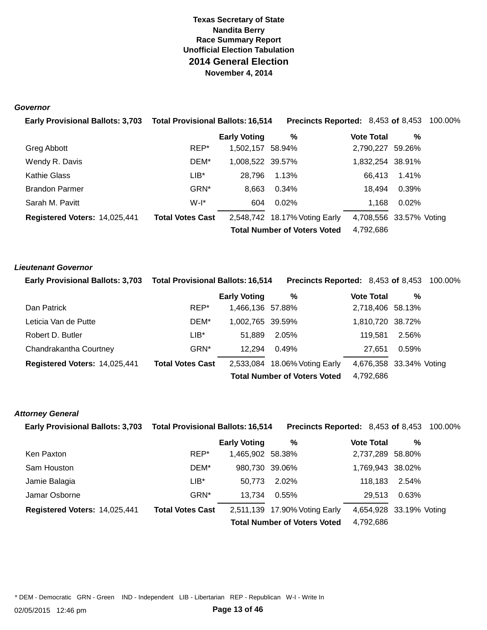### **Governor**

| Early Provisional Ballots: 3,703  Total Provisional Ballots: 16,514 |                         |                     | <b>Precincts Reported: 8,453 of 8,453 100.00%</b> |                         |       |  |
|---------------------------------------------------------------------|-------------------------|---------------------|---------------------------------------------------|-------------------------|-------|--|
|                                                                     |                         | <b>Early Voting</b> | %                                                 | <b>Vote Total</b>       | %     |  |
| Greg Abbott                                                         | REP*                    | 1,502,157 58.94%    |                                                   | 2,790,227 59.26%        |       |  |
| Wendy R. Davis                                                      | DEM*                    | 1,008,522 39.57%    |                                                   | 1,832,254 38.91%        |       |  |
| <b>Kathie Glass</b>                                                 | $LIB^*$                 | 28.796              | 1.13%                                             | 66.413                  | 1.41% |  |
| <b>Brandon Parmer</b>                                               | GRN <sup>*</sup>        | 8,663               | 0.34%                                             | 18.494                  | 0.39% |  |
| Sarah M. Pavitt                                                     | $W-I^*$                 | 604                 | $0.02\%$                                          | 1,168                   | 0.02% |  |
| Registered Voters: 14,025,441                                       | <b>Total Votes Cast</b> |                     | 2,548,742 18.17% Voting Early                     | 4,708,556 33.57% Voting |       |  |
|                                                                     |                         |                     | <b>Total Number of Voters Voted</b>               | 4,792,686               |       |  |

### **Lieutenant Governor**

| <b>Early Provisional Ballots: 3,703</b> | <b>Total Provisional Ballots: 16,514</b> |                     | <b>Precincts Reported: 8,453 of 8,453 100.00%</b> |                         |       |  |
|-----------------------------------------|------------------------------------------|---------------------|---------------------------------------------------|-------------------------|-------|--|
|                                         |                                          | <b>Early Voting</b> | %                                                 | <b>Vote Total</b>       | %     |  |
| Dan Patrick                             | REP*                                     | 1,466,136 57.88%    |                                                   | 2,718,406 58.13%        |       |  |
| Leticia Van de Putte                    | DEM*                                     | 1.002.765 39.59%    |                                                   | 1,810,720 38.72%        |       |  |
| Robert D. Butler                        | $LIB^*$                                  | 51.889              | 2.05%                                             | 119.581                 | 2.56% |  |
| Chandrakantha Courtney                  | GRN*                                     | 12.294              | $0.49\%$                                          | 27.651                  | 0.59% |  |
| Registered Voters: 14,025,441           | <b>Total Votes Cast</b>                  |                     | 2,533,084 18.06% Voting Early                     | 4,676,358 33.34% Voting |       |  |
|                                         |                                          |                     | <b>Total Number of Voters Voted</b>               | 4,792,686               |       |  |

### **Attorney General**

| <b>Early Provisional Ballots: 3,703</b> | <b>Total Provisional Ballots: 16,514</b> |                     | <b>Precincts Reported: 8,453 of 8,453 100.00%</b> |                         |       |  |
|-----------------------------------------|------------------------------------------|---------------------|---------------------------------------------------|-------------------------|-------|--|
|                                         |                                          | <b>Early Voting</b> | %                                                 | <b>Vote Total</b>       | %     |  |
| Ken Paxton                              | REP*                                     | 1,465,902 58.38%    |                                                   | 2,737,289 58.80%        |       |  |
| Sam Houston                             | DEM*                                     | 980.730 39.06%      |                                                   | 1,769,943 38.02%        |       |  |
| Jamie Balagia                           | $LIB^*$                                  | 50.773              | 2.02%                                             | 118.183                 | 2.54% |  |
| Jamar Osborne                           | GRN*                                     | 13,734              | 0.55%                                             | 29.513                  | 0.63% |  |
| Registered Voters: 14,025,441           | <b>Total Votes Cast</b>                  |                     | 2,511,139 17.90% Voting Early                     | 4,654,928 33.19% Voting |       |  |
|                                         |                                          |                     | <b>Total Number of Voters Voted</b>               | 4,792,686               |       |  |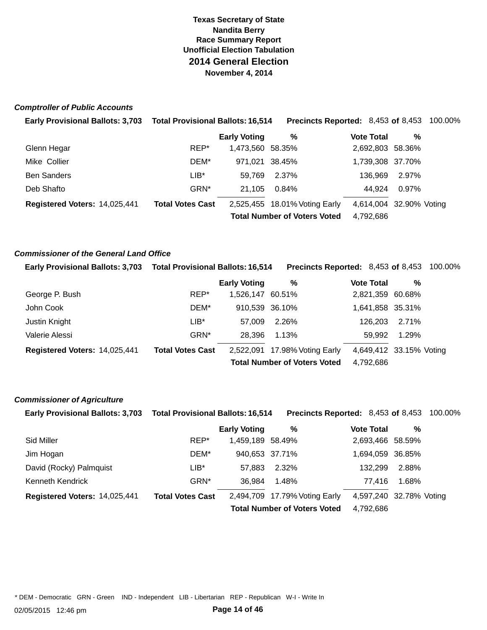### **Comptroller of Public Accounts**

| <b>Early Provisional Ballots: 3,703</b> | <b>Total Provisional Ballots: 16,514</b> |                     | <b>Precincts Reported: 8,453 of 8,453 100.00%</b> |                         |       |  |
|-----------------------------------------|------------------------------------------|---------------------|---------------------------------------------------|-------------------------|-------|--|
|                                         |                                          | <b>Early Voting</b> | %                                                 | <b>Vote Total</b>       | %     |  |
| Glenn Hegar                             | REP*                                     | 1,473,560 58.35%    |                                                   | 2,692,803 58.36%        |       |  |
| Mike Collier                            | DEM*                                     | 971.021 38.45%      |                                                   | 1,739,308 37.70%        |       |  |
| <b>Ben Sanders</b>                      | LIB*                                     | 59.769              | 2.37%                                             | 136.969                 | 2.97% |  |
| Deb Shafto                              | GRN*                                     | 21.105              | 0.84%                                             | 44.924                  | 0.97% |  |
| Registered Voters: 14,025,441           | <b>Total Votes Cast</b>                  |                     | 2,525,455 18.01% Voting Early                     | 4,614,004 32.90% Voting |       |  |
|                                         |                                          |                     | <b>Total Number of Voters Voted</b>               | 4.792.686               |       |  |

### **Commissioner of the General Land Office**

| <b>Early Provisional Ballots: 3,703</b> | <b>Total Provisional Ballots: 16,514</b> |                     | <b>Precincts Reported: 8,453 of 8,453 100.00%</b> |                         |       |  |
|-----------------------------------------|------------------------------------------|---------------------|---------------------------------------------------|-------------------------|-------|--|
|                                         |                                          | <b>Early Voting</b> | %                                                 | <b>Vote Total</b>       | %     |  |
| George P. Bush                          | REP*                                     | 1,526,147 60.51%    |                                                   | 2,821,359 60.68%        |       |  |
| John Cook                               | DEM*                                     | 910.539 36.10%      |                                                   | 1,641,858 35.31%        |       |  |
| Justin Knight                           | $LIB^*$                                  | 57.009              | 2.26%                                             | 126,203                 | 2.71% |  |
| Valerie Alessi                          | GRN*                                     | 28.396              | 1.13%                                             | 59.992                  | 1.29% |  |
| Registered Voters: 14,025,441           | <b>Total Votes Cast</b>                  |                     | 2,522,091 17.98% Voting Early                     | 4,649,412 33.15% Voting |       |  |
|                                         |                                          |                     | <b>Total Number of Voters Voted</b>               | 4,792,686               |       |  |

### **Commissioner of Agriculture**

| <b>Early Provisional Ballots: 3,703</b> | <b>Total Provisional Ballots: 16,514</b> |                     | <b>Precincts Reported: 8,453 of 8,453 100.00%</b> |                         |       |  |
|-----------------------------------------|------------------------------------------|---------------------|---------------------------------------------------|-------------------------|-------|--|
|                                         |                                          | <b>Early Voting</b> | %                                                 | <b>Vote Total</b>       | %     |  |
| Sid Miller                              | REP*                                     | 1,459,189 58.49%    |                                                   | 2,693,466 58.59%        |       |  |
| Jim Hogan                               | DEM*                                     | 940,653 37.71%      |                                                   | 1,694,059 36.85%        |       |  |
| David (Rocky) Palmquist                 | $LIB^*$                                  | 57.883              | 2.32%                                             | 132.299                 | 2.88% |  |
| Kenneth Kendrick                        | GRN*                                     | 36.984              | 1.48%                                             | 77.416                  | 1.68% |  |
| Registered Voters: 14,025,441           | <b>Total Votes Cast</b>                  |                     | 2,494,709 17.79% Voting Early                     | 4,597,240 32.78% Voting |       |  |
|                                         |                                          |                     | <b>Total Number of Voters Voted</b>               | 4,792,686               |       |  |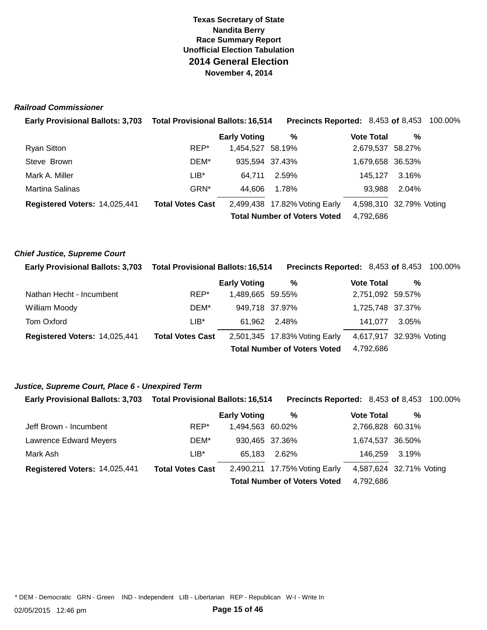# **Texas Secretary of State Race Summary Report Unofficial Election Tabulation 2014 General Election November 4, 2014 Nandita Berry**

### **Railroad Commissioner**

| <b>Early Provisional Ballots: 3,703</b> | <b>Total Provisional Ballots: 16,514</b> |                     | <b>Precincts Reported: 8,453 of 8,453 100.00%</b> |                         |       |  |
|-----------------------------------------|------------------------------------------|---------------------|---------------------------------------------------|-------------------------|-------|--|
|                                         |                                          | <b>Early Voting</b> | %                                                 | <b>Vote Total</b>       | %     |  |
| Ryan Sitton                             | REP*                                     | 1,454,527 58.19%    |                                                   | 2,679,537 58.27%        |       |  |
| Steve Brown                             | DEM*                                     | 935,594 37.43%      |                                                   | 1,679,658 36.53%        |       |  |
| Mark A. Miller                          | LIB*                                     | 64.711              | 2.59%                                             | 145.127                 | 3.16% |  |
| Martina Salinas                         | GRN*                                     | 44.606              | 1.78%                                             | 93,988                  | 2.04% |  |
| Registered Voters: 14,025,441           | <b>Total Votes Cast</b>                  |                     | 2,499,438 17.82% Voting Early                     | 4,598,310 32.79% Voting |       |  |
|                                         |                                          |                     | <b>Total Number of Voters Voted</b>               | 4,792,686               |       |  |

### **Chief Justice, Supreme Court**

| <b>Early Provisional Ballots: 3,703</b> | <b>Total Provisional Ballots: 16,514</b> |                     | <b>Precincts Reported: 8,453 of 8,453 100.00%</b> |                         |       |  |
|-----------------------------------------|------------------------------------------|---------------------|---------------------------------------------------|-------------------------|-------|--|
|                                         |                                          | <b>Early Voting</b> | %                                                 | <b>Vote Total</b>       | %     |  |
| Nathan Hecht - Incumbent                | REP*                                     | 1,489,665 59.55%    |                                                   | 2,751,092 59.57%        |       |  |
| William Moody                           | DEM*                                     | 949,718 37.97%      |                                                   | 1,725,748 37.37%        |       |  |
| Tom Oxford                              | $LIB^*$                                  | 61.962              | 2.48%                                             | 141.077                 | 3.05% |  |
| Registered Voters: 14,025,441           | <b>Total Votes Cast</b>                  |                     | 2,501,345 17.83% Voting Early                     | 4,617,917 32.93% Voting |       |  |
|                                         |                                          |                     | <b>Total Number of Voters Voted</b>               | 4,792,686               |       |  |

### **Justice, Supreme Court, Place 6 - Unexpired Term**

**Early Provisional Ballots: 3,703 Total Provisional Ballots: 16,514 Precincts Reported:** 8,453 **of** 8,453 100.00%

|                               |                         | <b>Early Voting</b> | %                                   | <b>Vote Total</b> | %                       |
|-------------------------------|-------------------------|---------------------|-------------------------------------|-------------------|-------------------------|
| Jeff Brown - Incumbent        | REP*                    | 1,494,563 60.02%    |                                     | 2,766,828 60.31%  |                         |
| Lawrence Edward Meyers        | DEM*                    | 930,465 37.36%      |                                     | 1,674,537 36.50%  |                         |
| Mark Ash                      | LIB*                    | 65.183              | 2.62%                               | 146,259 3.19%     |                         |
| Registered Voters: 14,025,441 | <b>Total Votes Cast</b> |                     | 2,490,211 17.75% Voting Early       |                   | 4,587,624 32.71% Voting |
|                               |                         |                     | <b>Total Number of Voters Voted</b> | 4,792,686         |                         |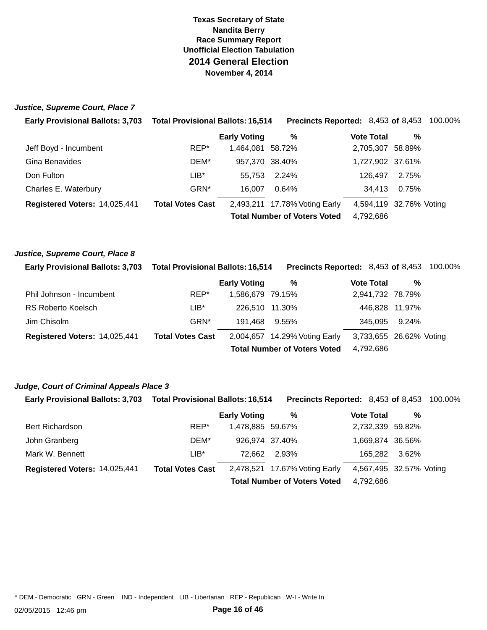# **Texas Secretary of State Race Summary Report Unofficial Election Tabulation 2014 General Election November 4, 2014 Nandita Berry**

### **Justice, Supreme Court, Place 7**

| <b>Early Provisional Ballots: 3,703</b> | <b>Total Provisional Ballots: 16,514</b> |                     | <b>Precincts Reported: 8,453 of 8,453 100.00%</b> |                         |       |  |
|-----------------------------------------|------------------------------------------|---------------------|---------------------------------------------------|-------------------------|-------|--|
|                                         |                                          | <b>Early Voting</b> | %                                                 | <b>Vote Total</b>       | %     |  |
| Jeff Boyd - Incumbent                   | REP*                                     | 1.464.081 58.72%    |                                                   | 2,705,307 58.89%        |       |  |
| Gina Benavides                          | DEM*                                     | 957,370 38.40%      |                                                   | 1,727,902 37.61%        |       |  |
| Don Fulton                              | $LIB^*$                                  | 55.753              | 2.24%                                             | 126.497                 | 2.75% |  |
| Charles E. Waterbury                    | GRN*                                     | 16.007              | 0.64%                                             | 34.413                  | 0.75% |  |
| Registered Voters: 14,025,441           | <b>Total Votes Cast</b>                  |                     | 2,493,211 17.78% Voting Early                     | 4,594,119 32.76% Voting |       |  |
|                                         |                                          |                     | <b>Total Number of Voters Voted</b>               | 4,792,686               |       |  |

### **Justice, Supreme Court, Place 8**

| <b>Early Provisional Ballots: 3,703</b> | <b>Total Provisional Ballots: 16,514</b> |                                     | <b>Precincts Reported: 8,453 of 8,453 100.00%</b> |                         |                |  |
|-----------------------------------------|------------------------------------------|-------------------------------------|---------------------------------------------------|-------------------------|----------------|--|
|                                         |                                          | <b>Early Voting</b>                 | %                                                 | <b>Vote Total</b>       | %              |  |
| Phil Johnson - Incumbent                | REP*                                     | 1,586,679 79.15%                    |                                                   | 2,941,732 78.79%        |                |  |
| RS Roberto Koelsch                      | $LIB^*$                                  | 226.510 11.30%                      |                                                   |                         | 446,828 11.97% |  |
| Jim Chisolm                             | GRN*                                     | 191.468                             | $9.55\%$                                          | 345.095                 | 9.24%          |  |
| Registered Voters: 14,025,441           | <b>Total Votes Cast</b>                  |                                     | 2,004,657 14.29% Voting Early                     | 3,733,655 26.62% Voting |                |  |
|                                         |                                          | <b>Total Number of Voters Voted</b> | 4,792,686                                         |                         |                |  |

### **Judge, Court of Criminal Appeals Place 3**

|  | <b>Early Provisional Ballots: 3.703  Total Provisional Ballots: 16.514</b> | <b>Precincts Reported:</b> 8,453 of 8,453 100.00% |  |
|--|----------------------------------------------------------------------------|---------------------------------------------------|--|
|  |                                                                            |                                                   |  |

|                               |                         | <b>Early Voting</b> | %                                   | <b>Vote Total</b> | %                       |
|-------------------------------|-------------------------|---------------------|-------------------------------------|-------------------|-------------------------|
| <b>Bert Richardson</b>        | REP*                    | 1,478,885 59.67%    |                                     | 2,732,339 59.82%  |                         |
| John Granberg                 | DEM*                    | 926,974 37.40%      |                                     | 1,669,874 36.56%  |                         |
| Mark W. Bennett               | $LIB*$                  | 72.662              | 2.93%                               | 165,282           | 3.62%                   |
| Registered Voters: 14,025,441 | <b>Total Votes Cast</b> |                     | 2,478,521 17.67% Voting Early       |                   | 4,567,495 32.57% Voting |
|                               |                         |                     | <b>Total Number of Voters Voted</b> | 4,792,686         |                         |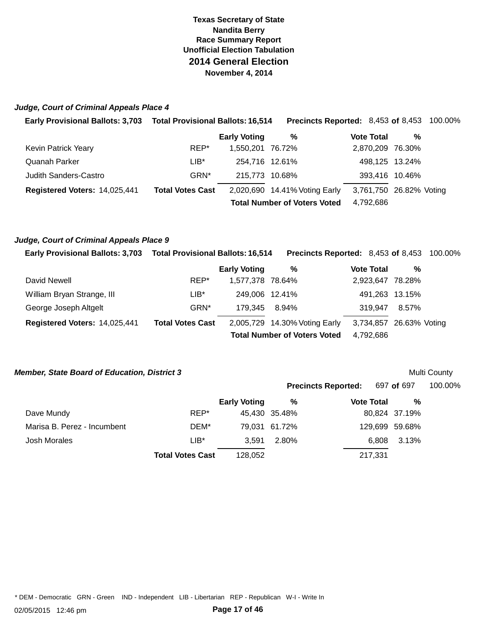# **Texas Secretary of State Race Summary Report Unofficial Election Tabulation 2014 General Election November 4, 2014 Nandita Berry**

### **Judge, Court of Criminal Appeals Place 4**

| Early Provisional Ballots: 3,703 Total Provisional Ballots: 16,514 |                         |                     | <b>Precincts Reported: 8,453 of 8,453 100.00%</b> |                         |   |  |
|--------------------------------------------------------------------|-------------------------|---------------------|---------------------------------------------------|-------------------------|---|--|
|                                                                    |                         | <b>Early Voting</b> | %                                                 | <b>Vote Total</b>       | % |  |
| Kevin Patrick Yeary                                                | REP*                    | 1.550.201 76.72%    |                                                   | 2,870,209 76.30%        |   |  |
| Quanah Parker                                                      | LIB*                    | 254,716 12.61%      |                                                   | 498,125 13.24%          |   |  |
| <b>Judith Sanders-Castro</b>                                       | GRN <sup>*</sup>        | 215.773 10.68%      |                                                   | 393,416 10.46%          |   |  |
| Registered Voters: 14,025,441                                      | <b>Total Votes Cast</b> |                     | 2,020,690 14.41% Voting Early                     | 3,761,750 26.82% Voting |   |  |
|                                                                    |                         |                     | <b>Total Number of Voters Voted</b>               | 4,792,686               |   |  |

### **Judge, Court of Criminal Appeals Place 9**

| <b>Early Provisional Ballots: 3,703</b> | <b>Total Provisional Ballots: 16,514</b> |                     | <b>Precincts Reported: 8,453 of 8,453 100.00%</b> |                         |       |  |
|-----------------------------------------|------------------------------------------|---------------------|---------------------------------------------------|-------------------------|-------|--|
|                                         |                                          | <b>Early Voting</b> | %                                                 | <b>Vote Total</b>       | %     |  |
| David Newell                            | REP*                                     | 1,577,378 78.64%    |                                                   | 2,923,647 78.28%        |       |  |
| William Bryan Strange, III              | LIB*                                     | 249,006 12.41%      |                                                   | 491.263 13.15%          |       |  |
| George Joseph Altgelt                   | GRN*                                     | 179.345             | 8.94%                                             | 319.947                 | 8.57% |  |
| Registered Voters: 14,025,441           | <b>Total Votes Cast</b>                  |                     | 2,005,729 14.30% Voting Early                     | 3,734,857 26.63% Voting |       |  |
|                                         |                                          |                     | <b>Total Number of Voters Voted</b>               | 4,792,686               |       |  |

### **Member, State Board of Education, District 3 <b>Multi County Control** County **Multi County Multi County**

|                             |                         |                     |               | Precincts Reported: 697 of 697 |       | 100.00%        |  |
|-----------------------------|-------------------------|---------------------|---------------|--------------------------------|-------|----------------|--|
|                             |                         | <b>Early Voting</b> | %             | <b>Vote Total</b>              |       | %              |  |
| Dave Mundy                  | REP*                    |                     | 45,430 35.48% |                                |       | 80,824 37.19%  |  |
| Marisa B. Perez - Incumbent | DEM*                    |                     | 79,031 61.72% |                                |       | 129,699 59.68% |  |
| Josh Morales                | LIB*                    | 3.591               | 2.80%         |                                | 6,808 | 3.13%          |  |
|                             | <b>Total Votes Cast</b> | 128,052             |               | 217,331                        |       |                |  |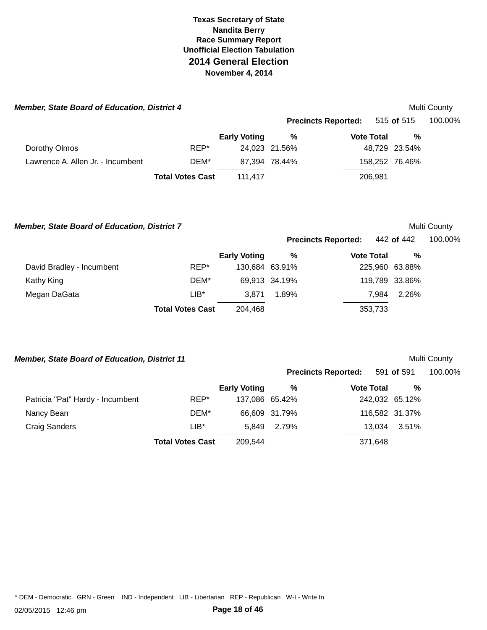| <b>Member, State Board of Education, District 4</b> |                         |                     |               |                            |         |                | Multi County |
|-----------------------------------------------------|-------------------------|---------------------|---------------|----------------------------|---------|----------------|--------------|
|                                                     |                         |                     |               | <b>Precincts Reported:</b> |         | 515 of 515     | 100.00%      |
|                                                     |                         | <b>Early Voting</b> | %             | <b>Vote Total</b>          |         | %              |              |
| Dorothy Olmos                                       | REP*                    |                     | 24,023 21.56% |                            |         | 48.729 23.54%  |              |
| Lawrence A. Allen Jr. - Incumbent                   | DEM*                    |                     | 87.394 78.44% |                            |         | 158,252 76.46% |              |
|                                                     | <b>Total Votes Cast</b> | 111.417             |               |                            | 206,981 |                |              |

 **Member, State Board of Education, District 7** 

|                           |                         | <b>Early Voting</b> | %             | <b>Vote Total</b> | %              |
|---------------------------|-------------------------|---------------------|---------------|-------------------|----------------|
| David Bradley - Incumbent | REP*                    | 130,684 63.91%      |               | 225,960 63.88%    |                |
| Kathy King                | DEM*                    |                     | 69,913 34.19% |                   | 119,789 33.86% |
| Megan DaGata              | $LIB*$                  | 3.871               | 1.89%         | 7.984             | 2.26%          |
|                           | <b>Total Votes Cast</b> | 204,468             |               | 353,733           |                |

**Precincts Reported:** 

**Precincts Reported:** 

# **Member, State Board of Education, District 11**

591 **of** 591 100.00%

Multi County

442 **of** 442 100.00%

|                                  |                         | <b>Early Voting</b> | %             | <b>Vote Total</b> | %              |
|----------------------------------|-------------------------|---------------------|---------------|-------------------|----------------|
| Patricia "Pat" Hardy - Incumbent | REP*                    | 137,086 65.42%      |               | 242,032 65.12%    |                |
| Nancy Bean                       | DEM*                    |                     | 66,609 31.79% |                   | 116,582 31.37% |
| Craig Sanders                    | $LIB*$                  | 5.849               | 2.79%         | 13.034            | 3.51%          |
|                                  | <b>Total Votes Cast</b> | 209.544             |               | 371,648           |                |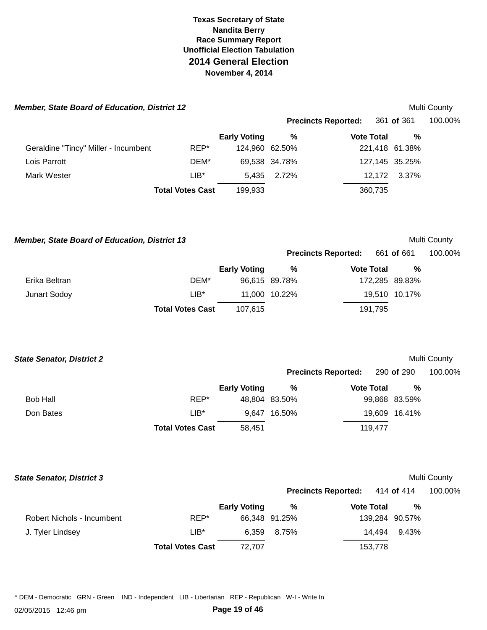| <b>Member, State Board of Education, District 12</b> |                         |                     |               |                            | Multi County   |         |
|------------------------------------------------------|-------------------------|---------------------|---------------|----------------------------|----------------|---------|
|                                                      |                         |                     |               | <b>Precincts Reported:</b> | 361 of 361     | 100.00% |
|                                                      |                         | <b>Early Voting</b> | %             | <b>Vote Total</b>          | %              |         |
| Geraldine "Tincy" Miller - Incumbent                 | REP*                    | 124,960 62.50%      |               |                            | 221,418 61.38% |         |
| Lois Parrott                                         | DEM*                    |                     | 69,538 34.78% |                            | 127,145 35.25% |         |
| Mark Wester                                          | $LIB*$                  | 5.435               | 2.72%         | 12,172                     | 3.37%          |         |
|                                                      | <b>Total Votes Cast</b> | 199,933             |               | 360,735                    |                |         |

 **Member, State Board of Education, District 13** 

| <b>Multi County</b> |  |
|---------------------|--|
|---------------------|--|

|               |                         |                     |               | <b>Precincts Reported:</b> 661 of 661 |                | 100.00% |
|---------------|-------------------------|---------------------|---------------|---------------------------------------|----------------|---------|
|               |                         | <b>Early Voting</b> | ℅             | <b>Vote Total</b>                     | %              |         |
| Erika Beltran | DEM*                    |                     | 96,615 89.78% |                                       | 172,285 89.83% |         |
| Junart Sodoy  | LIB*                    |                     | 11,000 10.22% |                                       | 19,510 10.17%  |         |
|               | <b>Total Votes Cast</b> | 107.615             |               | 191,795                               |                |         |

| <b>State Senator, District 2</b> |                         |                     |               |                            |               | Multi County |
|----------------------------------|-------------------------|---------------------|---------------|----------------------------|---------------|--------------|
|                                  |                         |                     |               | <b>Precincts Reported:</b> | 290 of 290    | 100.00%      |
|                                  |                         | <b>Early Voting</b> | %             | <b>Vote Total</b>          | %             |              |
| Bob Hall                         | REP*                    |                     | 48,804 83.50% |                            | 99,868 83.59% |              |
| Don Bates                        | LIB*                    | 9.647               | 16.50%        |                            | 19,609 16.41% |              |
|                                  | <b>Total Votes Cast</b> | 58,451              |               | 119,477                    |               |              |

| <b>State Senator, District 3</b> |                         |                     |               |                            |                |       | Multi County |
|----------------------------------|-------------------------|---------------------|---------------|----------------------------|----------------|-------|--------------|
|                                  |                         |                     |               | <b>Precincts Reported:</b> | 414 of 414     |       | 100.00%      |
|                                  |                         | <b>Early Voting</b> | %             | <b>Vote Total</b>          |                | %     |              |
| Robert Nichols - Incumbent       | REP*                    |                     | 66,348 91.25% |                            | 139,284 90.57% |       |              |
| J. Tyler Lindsey                 | $LIB*$                  | 6.359               | 8.75%         | 14.494                     |                | 9.43% |              |
|                                  | <b>Total Votes Cast</b> | 72.707              |               | 153.778                    |                |       |              |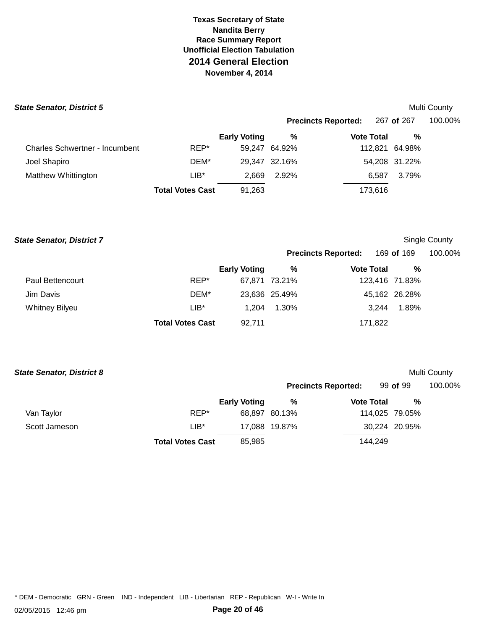|        |                     |                         |                                |                            | <b>Multi County</b>                                                                    |
|--------|---------------------|-------------------------|--------------------------------|----------------------------|----------------------------------------------------------------------------------------|
|        |                     |                         |                                |                            | 100.00%                                                                                |
|        | <b>Early Voting</b> | %                       |                                | %                          |                                                                                        |
| REP*   |                     |                         |                                |                            |                                                                                        |
| DEM*   |                     |                         |                                |                            |                                                                                        |
| $LIB*$ | 2,669               | 2.92%                   |                                | 3.79%                      |                                                                                        |
|        | 91,263              |                         |                                |                            |                                                                                        |
|        |                     | <b>Total Votes Cast</b> | 59,247 64.92%<br>29,347 32.16% | <b>Precincts Reported:</b> | 267 of 267<br><b>Vote Total</b><br>112,821 64.98%<br>54,208 31.22%<br>6.587<br>173,616 |

### **State Senator, District 7 County County County County County County County County County County County County County**

**Precincts Reported:** 169 **of** 169 100.00%

|                       |                         | <b>Early Voting</b> | %             | <b>Vote Total</b> | %              |
|-----------------------|-------------------------|---------------------|---------------|-------------------|----------------|
| Paul Bettencourt      | REP*                    |                     | 67,871 73.21% |                   | 123,416 71.83% |
| Jim Davis             | DEM*                    |                     | 23,636 25.49% |                   | 45,162 26.28%  |
| <b>Whitney Bilyeu</b> | $LIB*$                  | 1.204               | 1.30%         | 3.244             | 1.89%          |
|                       | <b>Total Votes Cast</b> | 92,711              |               | 171,822           |                |

| <b>State Senator, District 8</b> |                         |                     |               |                            |         |                | Multi County |
|----------------------------------|-------------------------|---------------------|---------------|----------------------------|---------|----------------|--------------|
|                                  |                         |                     |               | <b>Precincts Reported:</b> |         | 99 of 99       | 100.00%      |
|                                  |                         | <b>Early Voting</b> | %             | <b>Vote Total</b>          |         | %              |              |
| Van Taylor                       | REP*                    |                     | 68.897 80.13% |                            |         | 114,025 79.05% |              |
| Scott Jameson                    | $LIB*$                  |                     | 17.088 19.87% |                            |         | 30,224 20.95%  |              |
|                                  | <b>Total Votes Cast</b> | 85.985              |               |                            | 144,249 |                |              |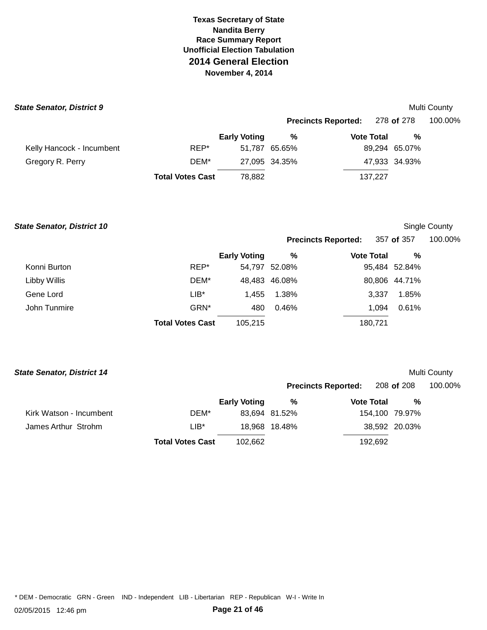### **State Senator, District 9** *Multi County* **<b>***County Multi County Multi County*

|  | Multi County |
|--|--------------|
|--|--------------|

|                           |                         |                     | Precincts Reported: 278 of 278 |                   |               | 100.00% |
|---------------------------|-------------------------|---------------------|--------------------------------|-------------------|---------------|---------|
|                           |                         | <b>Early Voting</b> | %                              | <b>Vote Total</b> | %             |         |
| Kelly Hancock - Incumbent | REP*                    |                     | 51,787 65.65%                  |                   | 89,294 65.07% |         |
| Gregory R. Perry          | DEM*                    |                     | 27,095 34.35%                  |                   | 47,933 34.93% |         |
|                           | <b>Total Votes Cast</b> | 78.882              |                                | 137.227           |               |         |

### **State Senator, District 10 Single County <b>State Senator, District 10 Single County Single County Single County**

| <b>Precincts Reported:</b> | 357 of 357 | 100.00% |
|----------------------------|------------|---------|
|----------------------------|------------|---------|

|              |                         | <b>Early Voting</b> | %             | <b>Vote Total</b> | %             |  |
|--------------|-------------------------|---------------------|---------------|-------------------|---------------|--|
| Konni Burton | REP*                    |                     | 54,797 52.08% |                   | 95,484 52.84% |  |
| Libby Willis | DEM*                    |                     | 48,483 46.08% |                   | 80,806 44.71% |  |
| Gene Lord    | $LIB*$                  | 1.455               | 1.38%         | 3.337             | 1.85%         |  |
| John Tunmire | GRN*                    | 480                 | $0.46\%$      | 1.094             | 0.61%         |  |
|              | <b>Total Votes Cast</b> | 105,215             |               | 180,721           |               |  |

# **State Senator, District 14** *Multi County* **<b>***Calculation County Multi County**Multi County**Multi County**Multi County*

| 110 Julialui, <i>Distri</i> ct 17 |                         |                     |               |                            |                | <b>IVIUIU OUUILY</b> |
|-----------------------------------|-------------------------|---------------------|---------------|----------------------------|----------------|----------------------|
|                                   |                         |                     |               | <b>Precincts Reported:</b> | 208 of 208     | 100.00%              |
|                                   |                         | <b>Early Voting</b> | %             | <b>Vote Total</b>          | %              |                      |
| Kirk Watson - Incumbent           | DEM*                    |                     | 83,694 81.52% |                            | 154,100 79.97% |                      |
| James Arthur Strohm               | $LIB*$                  |                     | 18,968 18.48% |                            | 38,592 20.03%  |                      |
|                                   | <b>Total Votes Cast</b> | 102.662             |               | 192,692                    |                |                      |
|                                   |                         |                     |               |                            |                |                      |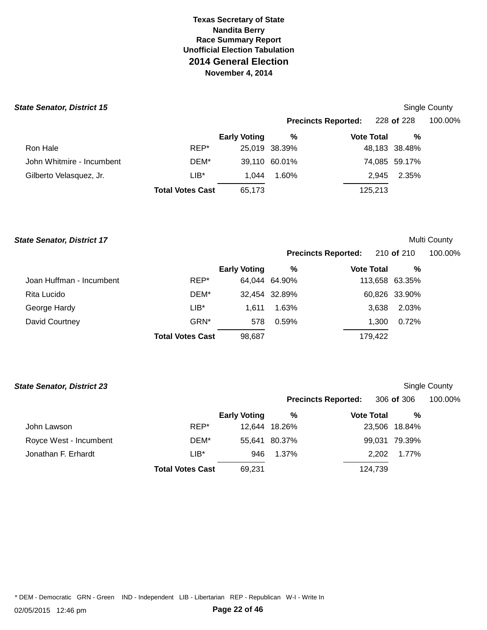| <b>State Senator, District 15</b> |                         |                     |               |                            |               | <b>Single County</b> |
|-----------------------------------|-------------------------|---------------------|---------------|----------------------------|---------------|----------------------|
|                                   |                         |                     |               | <b>Precincts Reported:</b> | 228 of 228    | 100.00%              |
|                                   |                         | <b>Early Voting</b> | %             | <b>Vote Total</b>          | %             |                      |
| Ron Hale                          | REP*                    |                     | 25,019 38.39% |                            | 48,183 38.48% |                      |
| John Whitmire - Incumbent         | DEM*                    |                     | 39.110 60.01% |                            | 74,085 59.17% |                      |
| Gilberto Velasquez, Jr.           | $LIB*$                  | 1.044               | 1.60%         | 2.945                      | 2.35%         |                      |
|                                   | <b>Total Votes Cast</b> | 65,173              |               | 125,213                    |               |                      |

### **State Senator, District 17** *Multi County* **<b>***Calculation County Multi County**Multi County**Multi County**Multi County*

|                          |                         |                     | <b>Precincts Reported:</b> |                   | 210 <b>of</b> 210 |                | 100.00% |  |
|--------------------------|-------------------------|---------------------|----------------------------|-------------------|-------------------|----------------|---------|--|
|                          |                         | <b>Early Voting</b> | %                          | <b>Vote Total</b> |                   | %              |         |  |
| Joan Huffman - Incumbent | REP*                    |                     | 64,044 64.90%              |                   |                   | 113,658 63.35% |         |  |
| Rita Lucido              | DEM*                    |                     | 32,454 32.89%              |                   |                   | 60,826 33.90%  |         |  |
| George Hardy             | LIB*                    | 1.611               | 1.63%                      |                   | 3.638             | 2.03%          |         |  |
| David Courtney           | GRN*                    | 578                 | 0.59%                      |                   | 1.300             | 0.72%          |         |  |
|                          | <b>Total Votes Cast</b> | 98,687              |                            |                   | 179.422           |                |         |  |

| <b>State Senator, District 23</b> |                         |                     |               |                            |               | Single County |
|-----------------------------------|-------------------------|---------------------|---------------|----------------------------|---------------|---------------|
|                                   |                         |                     |               | <b>Precincts Reported:</b> | 306 of 306    | 100.00%       |
|                                   |                         | <b>Early Voting</b> | %             | <b>Vote Total</b>          | %             |               |
| John Lawson                       | REP*                    | 12.644              | 18.26%        |                            | 23,506 18.84% |               |
| Royce West - Incumbent            | DEM*                    |                     | 55,641 80.37% |                            | 99,031 79.39% |               |
| Jonathan F. Erhardt               | $LIB*$                  | 946                 | 1.37%         | 2.202                      | 1.77%         |               |
|                                   | <b>Total Votes Cast</b> | 69,231              |               | 124,739                    |               |               |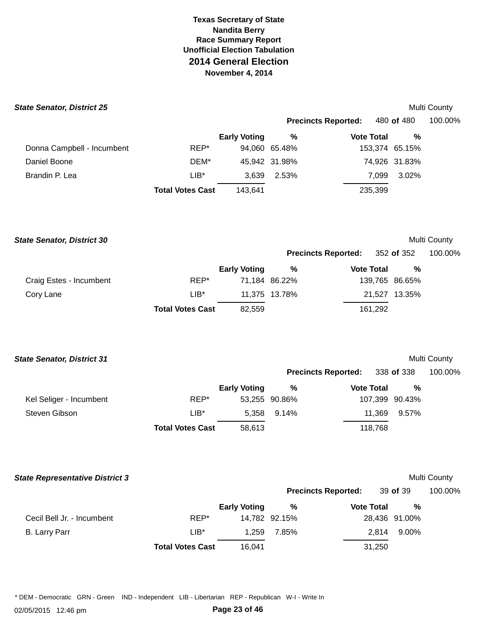### **State Senator, District 25**

Donna Campbell - Incumbent

|      |                     |               |                            |                   | <b>Multi County</b> |
|------|---------------------|---------------|----------------------------|-------------------|---------------------|
|      |                     |               | <b>Precincts Reported:</b> | 480 <b>of</b> 480 | 100.00%             |
|      | <b>Early Voting</b> | ℅             | <b>Vote Total</b>          | %                 |                     |
| REP* |                     | 94.060 65.48% |                            | 153,374 65.15%    |                     |
| DEM* |                     | 45,942 31.98% |                            | 74,926 31.83%     |                     |

|                | <b>Total Votes Cast</b> | 143.641 |               | 235,399 |               |
|----------------|-------------------------|---------|---------------|---------|---------------|
| Brandin P. Lea | ∟lB*                    |         | 3.639 2.53%   |         | 7,099 3.02%   |
| Daniel Boone   | DEM*                    |         | 45.942 31.98% |         | 74,926 31.83% |

 **State Senator, District 30** 

# Multi County

|                         |                         |                     | <b>Precincts Reported:</b> 352 of 352 |                   |                | 100.00% |  |
|-------------------------|-------------------------|---------------------|---------------------------------------|-------------------|----------------|---------|--|
|                         |                         | <b>Early Voting</b> | ℅                                     | <b>Vote Total</b> | %              |         |  |
| Craig Estes - Incumbent | REP*                    |                     | 71,184 86.22%                         |                   | 139,765 86.65% |         |  |
| Cory Lane               | $LIB*$                  |                     | 11,375 13.78%                         |                   | 21,527 13.35%  |         |  |
|                         | <b>Total Votes Cast</b> | 82.559              |                                       | 161.292           |                |         |  |

| <b>State Senator, District 31</b> |  |
|-----------------------------------|--|
|-----------------------------------|--|

# Multi County

|                         |                         |                     |               | <b>Precincts Reported:</b> | 338 <b>of</b> 338 | 100.00% |  |
|-------------------------|-------------------------|---------------------|---------------|----------------------------|-------------------|---------|--|
|                         |                         | <b>Early Voting</b> | %             | <b>Vote Total</b>          | %                 |         |  |
| Kel Seliger - Incumbent | REP*                    |                     | 53,255 90.86% |                            | 107,399 90.43%    |         |  |
| Steven Gibson           | $LIB^*$                 | 5.358               | 9.14%         | 11.369                     | 9.57%             |         |  |
|                         | <b>Total Votes Cast</b> | 58.613              |               | 118.768                    |                   |         |  |

| <b>State Representative District 3</b> |                         |                     |               |                            |               | Multi County |
|----------------------------------------|-------------------------|---------------------|---------------|----------------------------|---------------|--------------|
|                                        |                         |                     |               | <b>Precincts Reported:</b> | 39 of 39      | 100.00%      |
|                                        |                         | <b>Early Voting</b> | %             | <b>Vote Total</b>          | %             |              |
| Cecil Bell Jr. - Incumbent             | REP*                    |                     | 14,782 92.15% |                            | 28,436 91.00% |              |
| <b>B.</b> Larry Parr                   | $LIB*$                  | 1.259               | 7.85%         | 2.814                      | 9.00%         |              |
|                                        | <b>Total Votes Cast</b> | 16,041              |               | 31,250                     |               |              |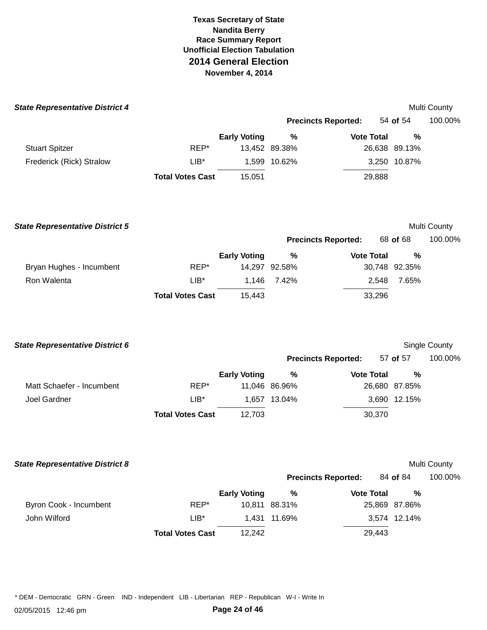| <b>State Representative District 4</b> |                         |                     |               |                            |               | Multi County  |
|----------------------------------------|-------------------------|---------------------|---------------|----------------------------|---------------|---------------|
|                                        |                         |                     |               | <b>Precincts Reported:</b> | 54 of 54      | 100.00%       |
|                                        |                         | <b>Early Voting</b> | $\%$          | <b>Vote Total</b>          | %             |               |
| <b>Stuart Spitzer</b>                  | REP*                    |                     | 13,452 89.38% |                            | 26,638 89.13% |               |
| Frederick (Rick) Stralow               | $LIB^*$                 |                     | 1,599 10.62%  |                            | 3,250 10.87%  |               |
|                                        | <b>Total Votes Cast</b> | 15,051              |               | 29,888                     |               |               |
| <b>State Representative District 5</b> |                         |                     |               |                            |               | Multi County  |
|                                        |                         |                     |               | <b>Precincts Reported:</b> | 68 of 68      | 100.00%       |
|                                        |                         | <b>Early Voting</b> | $\%$          | <b>Vote Total</b>          | %             |               |
| Bryan Hughes - Incumbent               | REP*                    |                     | 14,297 92.58% |                            | 30,748 92.35% |               |
| Ron Walenta                            | $LIB^*$                 | 1,146               | 7.42%         | 2,548                      | 7.65%         |               |
|                                        | <b>Total Votes Cast</b> | 15,443              |               | 33,296                     |               |               |
| <b>State Representative District 6</b> |                         |                     |               |                            |               | Single County |
|                                        |                         |                     |               | <b>Precincts Reported:</b> | 57 of 57      | 100.00%       |
|                                        |                         | <b>Early Voting</b> | $\%$          | <b>Vote Total</b>          | %             |               |
| Matt Schaefer - Incumbent              | REP*                    |                     | 11,046 86.96% |                            | 26,680 87.85% |               |
| Joel Gardner                           | $LIB*$                  |                     | 1,657 13.04%  |                            | 3,690 12.15%  |               |
|                                        | <b>Total Votes Cast</b> | 12,703              |               | 30,370                     |               |               |
| <b>State Representative District 8</b> |                         |                     |               |                            |               | Multi County  |
|                                        |                         |                     |               | <b>Precincts Reported:</b> | 84 of 84      | 100.00%       |
|                                        |                         | <b>Early Voting</b> | $\%$          | <b>Vote Total</b>          | $\%$          |               |

**Total Votes Cast** 12,242 29,443 John Wilford **1,431 11.69%** 3,574 12.14%

Byron Cook - Incumbent REP\* 10,811 88.31% 25,869 87.86%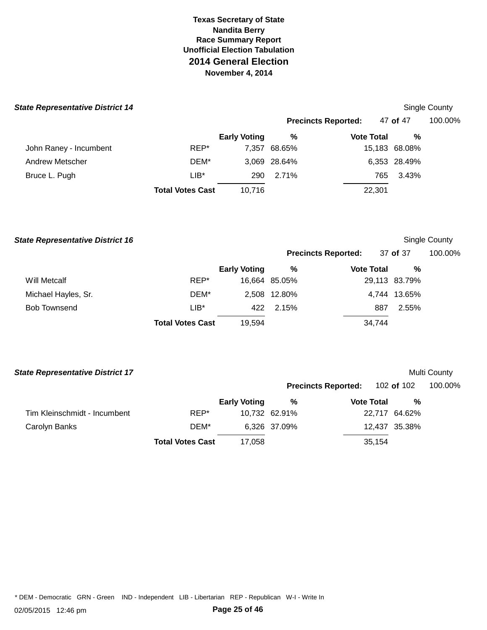| <b>State Representative District 14</b> |                         |                     |              |                            |               | <b>Single County</b> |
|-----------------------------------------|-------------------------|---------------------|--------------|----------------------------|---------------|----------------------|
|                                         |                         |                     |              | <b>Precincts Reported:</b> | 47 of 47      | 100.00%              |
|                                         |                         | <b>Early Voting</b> | %            | <b>Vote Total</b>          | %             |                      |
| John Raney - Incumbent                  | REP*                    | 7.357               | 68.65%       |                            | 15,183 68.08% |                      |
| Andrew Metscher                         | DEM*                    |                     | 3.069 28.64% |                            | 6,353 28.49%  |                      |
| Bruce L. Pugh                           | $LIB*$                  | 290                 | 2.71%        | 765.                       | 3.43%         |                      |
|                                         | <b>Total Votes Cast</b> | 10,716              |              | 22,301                     |               |                      |

**State Representative District 16 Single County State Representative District 16 Single County** 

|                     |      |                     | <b>Precincts Reported:</b> |                   | 37 of 37      | 100.00% |  |
|---------------------|------|---------------------|----------------------------|-------------------|---------------|---------|--|
|                     |      | <b>Early Voting</b> | %                          | <b>Vote Total</b> | %             |         |  |
| Will Metcalf        | REP* |                     | 16,664 85.05%              |                   | 29,113 83.79% |         |  |
| Michael Hayles, Sr. | DEM* |                     | 2,508 12.80%               |                   | 4,744 13.65%  |         |  |
| <b>Bob Townsend</b> | ∟lB* | 422                 | 2.15%                      | 887               | 2.55%         |         |  |

**Total Votes Cast** 19,594 34,744

|  |  | <b>State Representative District 17</b> |  |
|--|--|-----------------------------------------|--|

# **Multi County**

|                              |                         |                     |               | <b>Precincts Reported:</b> | 102 <b>of</b> 102 | 100.00% |
|------------------------------|-------------------------|---------------------|---------------|----------------------------|-------------------|---------|
|                              |                         | <b>Early Voting</b> | %             | <b>Vote Total</b>          | %                 |         |
| Tim Kleinschmidt - Incumbent | REP*                    |                     | 10,732 62.91% |                            | 22,717 64.62%     |         |
| Carolyn Banks                | DEM*                    |                     | 6,326 37.09%  |                            | 12,437 35.38%     |         |
|                              | <b>Total Votes Cast</b> | 17.058              |               | 35,154                     |                   |         |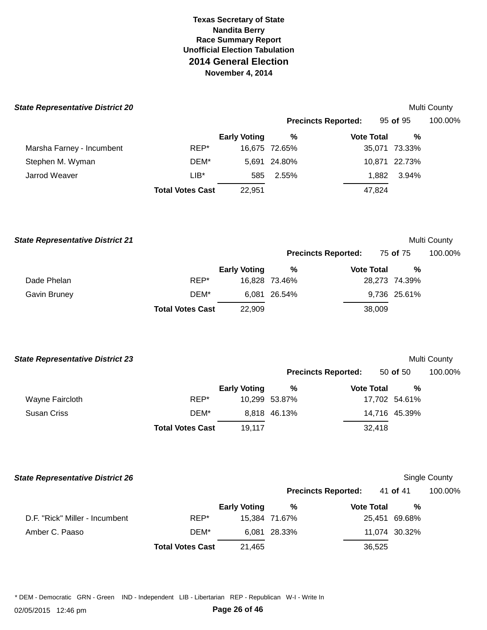| ate Representative District 20 |                         |                     |               |                            |                | <b>Multi County</b> |
|--------------------------------|-------------------------|---------------------|---------------|----------------------------|----------------|---------------------|
|                                |                         |                     |               | <b>Precincts Reported:</b> | 95 of 95       | 100.00%             |
|                                |                         | <b>Early Voting</b> | %             | <b>Vote Total</b>          | %              |                     |
| Marsha Farney - Incumbent      | REP*                    |                     | 16,675 72.65% |                            | 35,071 73.33%  |                     |
| Stephen M. Wyman               | DEM*                    |                     | 5.691 24.80%  |                            | 10,871 22.73%  |                     |
| Jarrod Weaver                  | $LIB^*$                 | 585                 | 2.55%         |                            | 3.94%<br>1.882 |                     |
|                                | <b>Total Votes Cast</b> | 22,951              |               | 47,824                     |                |                     |

| <b>State Representative District 21</b> |                         |                     |               |                            |                 |               | Multi County |
|-----------------------------------------|-------------------------|---------------------|---------------|----------------------------|-----------------|---------------|--------------|
|                                         |                         |                     |               | <b>Precincts Reported:</b> | 75 <b>of</b> 75 |               | 100.00%      |
|                                         |                         | <b>Early Voting</b> | %             | <b>Vote Total</b>          |                 | %             |              |
| Dade Phelan                             | REP*                    |                     | 16,828 73.46% |                            |                 | 28,273 74.39% |              |
| Gavin Bruney                            | DEM*                    |                     | 6,081 26.54%  |                            |                 | 9,736 25.61%  |              |
|                                         | <b>Total Votes Cast</b> | 22,909              |               |                            | 38,009          |               |              |

| <b>State Representative District 23</b> |                         |                     |               |                            |               | <b>Multi County</b> |
|-----------------------------------------|-------------------------|---------------------|---------------|----------------------------|---------------|---------------------|
|                                         |                         |                     |               | <b>Precincts Reported:</b> | 50 of 50      | 100.00%             |
|                                         |                         | <b>Early Voting</b> | %             | <b>Vote Total</b>          | %             |                     |
| Wayne Faircloth                         | REP*                    |                     | 10.299 53.87% |                            | 17,702 54.61% |                     |
| <b>Susan Criss</b>                      | DEM*                    |                     | 8,818 46.13%  |                            | 14,716 45.39% |                     |
|                                         | <b>Total Votes Cast</b> | 19.117              |               | 32,418                     |               |                     |

| <b>State Representative District 26</b> |                         |                     |               |                            |               | Single County |
|-----------------------------------------|-------------------------|---------------------|---------------|----------------------------|---------------|---------------|
|                                         |                         |                     |               | <b>Precincts Reported:</b> | 41 of 41      | 100.00%       |
|                                         |                         | <b>Early Voting</b> | %             | <b>Vote Total</b>          | %             |               |
| D.F. "Rick" Miller - Incumbent          | REP*                    |                     | 15,384 71.67% |                            | 25,451 69.68% |               |
| Amber C. Paaso                          | DEM*                    |                     | 6,081 28.33%  |                            | 11,074 30.32% |               |
|                                         | <b>Total Votes Cast</b> | 21,465              |               | 36,525                     |               |               |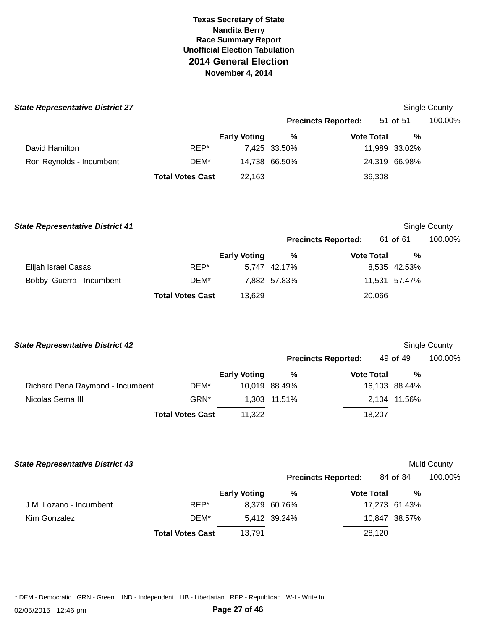| <b>State Representative District 27</b> |                         |                     |               |                            |               | Single County |
|-----------------------------------------|-------------------------|---------------------|---------------|----------------------------|---------------|---------------|
|                                         |                         |                     |               | <b>Precincts Reported:</b> | 51 of 51      | 100.00%       |
|                                         |                         | <b>Early Voting</b> | %             | <b>Vote Total</b>          | $\%$          |               |
| David Hamilton                          | REP*                    |                     | 7,425 33.50%  |                            | 11,989 33.02% |               |
| Ron Reynolds - Incumbent                | DEM*                    |                     | 14,738 66.50% |                            | 24,319 66.98% |               |
|                                         | <b>Total Votes Cast</b> | 22,163              |               | 36,308                     |               |               |
| <b>State Representative District 41</b> |                         |                     |               |                            |               | Single County |
|                                         |                         |                     |               | <b>Precincts Reported:</b> | 61 of 61      | 100.00%       |

|                          |                         | <b>Early Voting</b> | %            | <b>Vote Total</b> | %             |  |
|--------------------------|-------------------------|---------------------|--------------|-------------------|---------------|--|
| Elijah Israel Casas      | REP*                    |                     | 5.747 42.17% |                   | 8,535 42.53%  |  |
| Bobby Guerra - Incumbent | DEM*                    |                     | 7.882 57.83% |                   | 11,531 57.47% |  |
|                          | <b>Total Votes Cast</b> | 13.629              |              | 20,066            |               |  |

| <b>State Representative District 42</b> |                         |                     |               |                            |               |   | Single County |
|-----------------------------------------|-------------------------|---------------------|---------------|----------------------------|---------------|---|---------------|
|                                         |                         |                     |               | <b>Precincts Reported:</b> | 49 of 49      |   | 100.00%       |
|                                         |                         | <b>Early Voting</b> | %             | <b>Vote Total</b>          |               | % |               |
| Richard Pena Raymond - Incumbent        | DEM*                    |                     | 10.019 88.49% |                            | 16,103 88.44% |   |               |
| Nicolas Serna III                       | GRN*                    |                     | 1.303 11.51%  |                            | 2,104 11.56%  |   |               |
|                                         | <b>Total Votes Cast</b> | 11.322              |               | 18.207                     |               |   |               |

| <b>State Representative District 43</b> | Multi County |
|-----------------------------------------|--------------|
|-----------------------------------------|--------------|

|                         |                         |                     |              | <b>Precincts Reported:</b> | 84 of 84      | 100.00% |
|-------------------------|-------------------------|---------------------|--------------|----------------------------|---------------|---------|
|                         |                         | <b>Early Voting</b> | %            | <b>Vote Total</b>          | %             |         |
| J.M. Lozano - Incumbent | REP*                    |                     | 8,379 60.76% |                            | 17,273 61.43% |         |
| Kim Gonzalez            | DEM*                    |                     | 5,412 39.24% |                            | 10,847 38.57% |         |
|                         | <b>Total Votes Cast</b> | 13.791              |              | 28,120                     |               |         |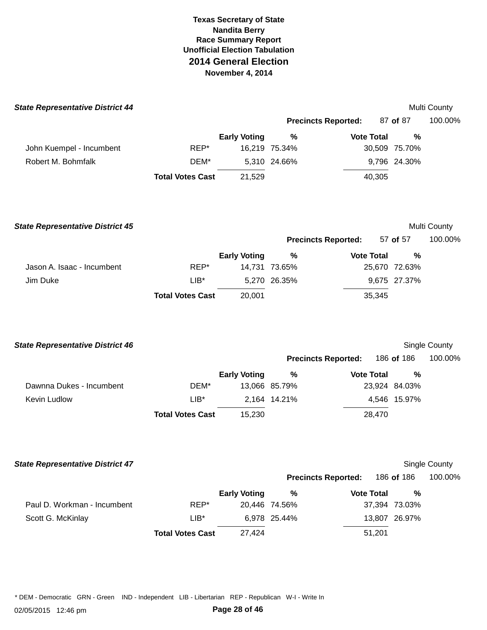| <b>State Representative District 44</b> |                         |                     |               |                            |               | Multi County |
|-----------------------------------------|-------------------------|---------------------|---------------|----------------------------|---------------|--------------|
|                                         |                         |                     |               | <b>Precincts Reported:</b> | 87 of 87      | 100.00%      |
|                                         |                         | <b>Early Voting</b> | %             | <b>Vote Total</b>          | %             |              |
| John Kuempel - Incumbent                | REP*                    |                     | 16,219 75.34% |                            | 30,509 75.70% |              |
| Robert M. Bohmfalk                      | DEM*                    |                     | 5,310 24.66%  |                            | 9,796 24.30%  |              |
|                                         | <b>Total Votes Cast</b> | 21,529              |               | 40,305                     |               |              |
|                                         |                         |                     |               |                            |               |              |
|                                         |                         |                     |               |                            |               |              |
|                                         |                         |                     |               |                            |               |              |

| <b>State Representative District 45</b> |                         |                     |               |                            |        |               | Multi County |
|-----------------------------------------|-------------------------|---------------------|---------------|----------------------------|--------|---------------|--------------|
|                                         |                         |                     |               | <b>Precincts Reported:</b> |        | 57 of 57      | 100.00%      |
|                                         |                         | <b>Early Voting</b> | %             | <b>Vote Total</b>          |        | %             |              |
| Jason A. Isaac - Incumbent              | REP*                    |                     | 14,731 73.65% |                            |        | 25,670 72.63% |              |
| Jim Duke                                | $LIB*$                  |                     | 5,270 26.35%  |                            |        | 9,675 27.37%  |              |
|                                         | <b>Total Votes Cast</b> | 20,001              |               |                            | 35,345 |               |              |

| <b>State Representative District 46</b> |                         |                     |               |                            |               | Single County |
|-----------------------------------------|-------------------------|---------------------|---------------|----------------------------|---------------|---------------|
|                                         |                         |                     |               | <b>Precincts Reported:</b> | 186 of 186    | 100.00%       |
|                                         |                         | <b>Early Voting</b> | %             | <b>Vote Total</b>          | %             |               |
| Dawnna Dukes - Incumbent                | DEM*                    |                     | 13,066 85.79% |                            | 23,924 84.03% |               |
| Kevin Ludlow                            | $LIB^*$                 |                     | 2.164 14.21%  |                            | 4,546 15.97%  |               |
|                                         | <b>Total Votes Cast</b> | 15.230              |               | 28.470                     |               |               |

### **State Representative District 47 Single County County County County County County County County County County County**

|                             |                         |                     | <b>Precincts Reported:</b> |                   | 186 <b>of</b> 186 | 100.00% |
|-----------------------------|-------------------------|---------------------|----------------------------|-------------------|-------------------|---------|
|                             |                         | <b>Early Voting</b> | %                          | <b>Vote Total</b> | %                 |         |
| Paul D. Workman - Incumbent | REP*                    |                     | 20.446 74.56%              |                   | 37,394 73.03%     |         |
| Scott G. McKinlay           | $LIB*$                  |                     | 6,978 25.44%               |                   | 13,807 26.97%     |         |
|                             | <b>Total Votes Cast</b> | 27.424              |                            | 51,201            |                   |         |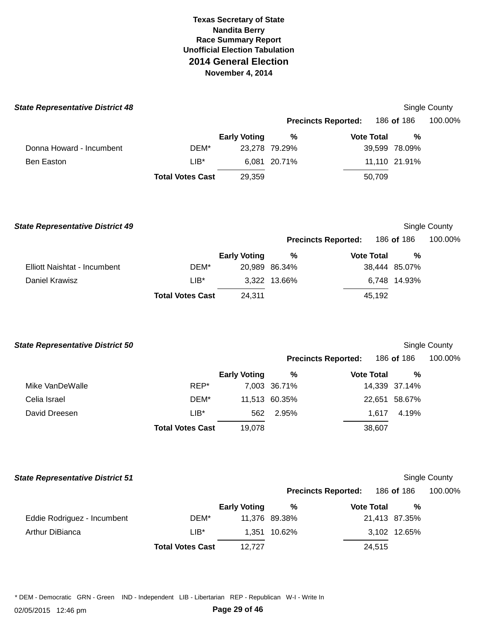| <b>State Representative District 48</b> |                         |                     |                            |                   |               | Single County |
|-----------------------------------------|-------------------------|---------------------|----------------------------|-------------------|---------------|---------------|
|                                         |                         |                     | <b>Precincts Reported:</b> |                   | 186 of 186    | 100.00%       |
|                                         |                         | <b>Early Voting</b> | %                          | <b>Vote Total</b> | %             |               |
| Donna Howard - Incumbent                | DEM*                    |                     | 23,278 79.29%              |                   | 39,599 78.09% |               |
| Ben Easton                              | $LIB*$                  |                     | 6.081 20.71%               |                   | 11,110 21.91% |               |
|                                         | <b>Total Votes Cast</b> | 29,359              |                            | 50,709            |               |               |
|                                         |                         |                     |                            |                   |               |               |

Elliott Naishtat - Incumbent **DEM\* Total Votes Cast** 24,311 45,192  **State Representative District 49 Precincts Reported:**  Single County 186 **of** 186 100.00% **Early Voting**  20,989 86.34% **% Vote Total**  38,444 85.07% **%**  Daniel Krawisz LIB\* 3,322 13.66% 6,748 14.93%

**Total Votes Cast** 19,078 38,607  **State Representative District 50 Precincts Reported:**  Single County 186 **of** 186 100.00% Mike VanDeWalle **REP\* Early Voting**  7,003 36.71% **% Vote Total**  14,339 37.14% **%**  Celia Israel DEM\* 11,513 60.35% 22,651 58.67% David Dreesen LIB\* 562 2.95% 1,617 4.19%

 Eddie Rodriguez - Incumbent **Total Votes Cast** 12,727 24,515  **State Representative District 51 Precincts Reported:**  Single County 186 **of** 186 100.00% Arthur DiBianca DEM\* LIB\* **Early Voting**  11,376 89.38% 1,351 10.62% **% Vote Total**  21,413 87.35% 3,102 12.65% **%**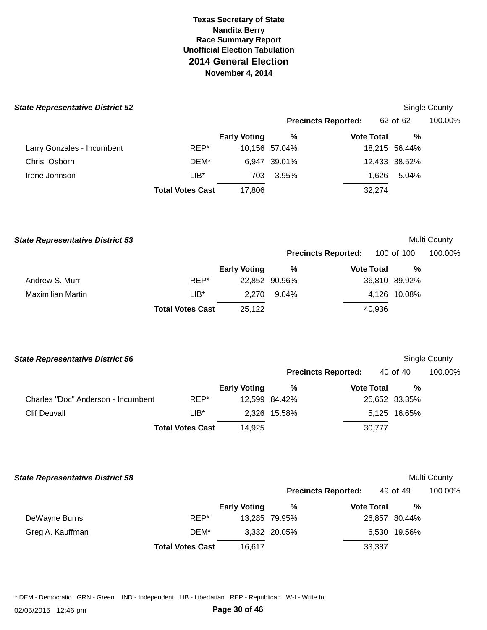| <b>State Representative District 52</b> |  |
|-----------------------------------------|--|
|-----------------------------------------|--|

| ate Representative District 52 |                         |                     |                            |                   |               | Single County |
|--------------------------------|-------------------------|---------------------|----------------------------|-------------------|---------------|---------------|
|                                |                         |                     | <b>Precincts Reported:</b> |                   | 62 of 62      | 100.00%       |
|                                |                         | <b>Early Voting</b> | %                          | <b>Vote Total</b> | %             |               |
| Larry Gonzales - Incumbent     | REP*                    |                     | 10,156 57.04%              |                   | 18,215 56.44% |               |
| Chris Osborn                   | DEM*                    |                     | 6,947 39.01%               |                   | 12,433 38.52% |               |
| Irene Johnson                  | $LIB^*$                 | 703                 | 3.95%                      | 1.626             | 5.04%         |               |
|                                | <b>Total Votes Cast</b> | 17.806              |                            | 32,274            |               |               |

| <b>State Representative District 53</b> |                         |                     |               |                            |                   | Multi County |
|-----------------------------------------|-------------------------|---------------------|---------------|----------------------------|-------------------|--------------|
|                                         |                         |                     |               | <b>Precincts Reported:</b> | 100 <b>of</b> 100 | 100.00%      |
|                                         |                         | <b>Early Voting</b> | %             | <b>Vote Total</b>          | %                 |              |
| Andrew S. Murr                          | REP*                    |                     | 22,852 90.96% |                            | 36,810 89.92%     |              |
| <b>Maximilian Martin</b>                | $LIB*$                  | 2.270               | 9.04%         |                            | 4,126 10.08%      |              |
|                                         | <b>Total Votes Cast</b> | 25,122              |               | 40,936                     |                   |              |

| <b>State Representative District 56</b> |                            |                     |               |                   |               | Single County |
|-----------------------------------------|----------------------------|---------------------|---------------|-------------------|---------------|---------------|
|                                         | <b>Precincts Reported:</b> |                     |               | 40 of 40          | 100.00%       |               |
|                                         |                            | <b>Early Voting</b> | %             | <b>Vote Total</b> | %             |               |
| Charles "Doc" Anderson - Incumbent      | REP*                       |                     | 12.599 84.42% |                   | 25,652 83.35% |               |
| <b>Clif Deuvall</b>                     | $LIB^*$                    |                     | 2,326 15.58%  |                   | 5,125 16.65%  |               |
|                                         | <b>Total Votes Cast</b>    | 14,925              |               | 30.777            |               |               |

| <b>State Representative District 58</b> |                         |                     |               |                            |               | Multi County |
|-----------------------------------------|-------------------------|---------------------|---------------|----------------------------|---------------|--------------|
|                                         |                         |                     |               | <b>Precincts Reported:</b> | 49 of 49      | 100.00%      |
|                                         |                         | <b>Early Voting</b> | %             | <b>Vote Total</b>          | %             |              |
| DeWayne Burns                           | REP*                    |                     | 13.285 79.95% |                            | 26,857 80.44% |              |
| Greg A. Kauffman                        | DEM*                    |                     | 3,332 20.05%  |                            | 6,530 19.56%  |              |
|                                         | <b>Total Votes Cast</b> | 16,617              |               | 33,387                     |               |              |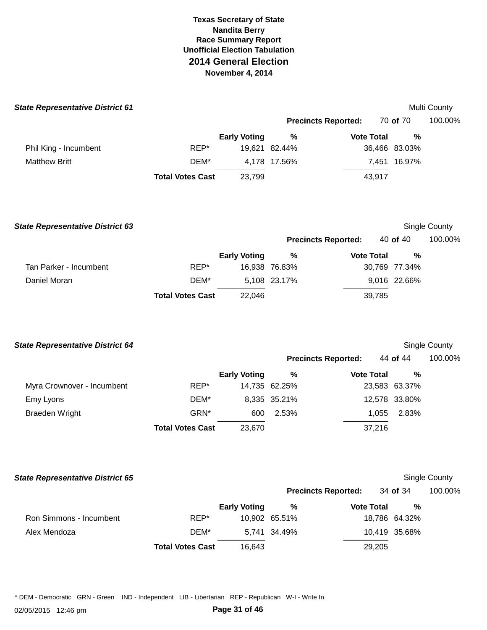| <b>State Representative District 61</b> |                         |                     |               |                            |               | Multi County |
|-----------------------------------------|-------------------------|---------------------|---------------|----------------------------|---------------|--------------|
|                                         |                         |                     |               | <b>Precincts Reported:</b> | 70 of 70      | 100.00%      |
|                                         |                         | <b>Early Voting</b> | %             | <b>Vote Total</b>          | %             |              |
| Phil King - Incumbent                   | REP*                    |                     | 19,621 82.44% |                            | 36,466 83.03% |              |
| <b>Matthew Britt</b>                    | DEM*                    |                     | 4,178 17.56%  |                            | 7,451 16.97%  |              |
|                                         | <b>Total Votes Cast</b> | 23,799              |               | 43,917                     |               |              |
|                                         |                         |                     |               |                            |               |              |

| <b>State Representative District 63</b> |                         |                     |               | Single County              |        |               |         |
|-----------------------------------------|-------------------------|---------------------|---------------|----------------------------|--------|---------------|---------|
|                                         |                         |                     |               | <b>Precincts Reported:</b> |        | 40 of 40      | 100.00% |
|                                         |                         | <b>Early Voting</b> | %             | <b>Vote Total</b>          |        | %             |         |
| Tan Parker - Incumbent                  | REP*                    |                     | 16,938 76.83% |                            |        | 30,769 77.34% |         |
| Daniel Moran                            | DEM*                    |                     | 5.108 23.17%  |                            |        | 9,016 22.66%  |         |
|                                         | <b>Total Votes Cast</b> | 22,046              |               |                            | 39,785 |               |         |

| <b>State Representative District 64</b> |                         |                     |               |                            |               | <b>Single County</b> |
|-----------------------------------------|-------------------------|---------------------|---------------|----------------------------|---------------|----------------------|
|                                         |                         |                     |               | <b>Precincts Reported:</b> | 44 of 44      | 100.00%              |
|                                         |                         | <b>Early Voting</b> | $\frac{0}{0}$ | <b>Vote Total</b>          | %             |                      |
| Myra Crownover - Incumbent              | REP*                    |                     | 14,735 62.25% |                            | 23,583 63.37% |                      |
| Emy Lyons                               | DEM*                    |                     | 8,335 35.21%  |                            | 12,578 33.80% |                      |
| <b>Braeden Wright</b>                   | GRN*                    | 600                 | 2.53%         | 1,055                      | 2.83%         |                      |
|                                         | <b>Total Votes Cast</b> | 23,670              |               | 37,216                     |               |                      |

| <b>State Representative District 65</b> |                         |                     |               |                            |               | Single County |
|-----------------------------------------|-------------------------|---------------------|---------------|----------------------------|---------------|---------------|
|                                         |                         |                     |               | <b>Precincts Reported:</b> | 34 of 34      | 100.00%       |
|                                         |                         | <b>Early Voting</b> | %             | <b>Vote Total</b>          | %             |               |
| Ron Simmons - Incumbent                 | REP*                    |                     | 10,902 65.51% |                            | 18,786 64.32% |               |
| Alex Mendoza                            | DEM*                    |                     | 5,741 34.49%  |                            | 10,419 35.68% |               |
|                                         | <b>Total Votes Cast</b> | 16,643              |               | 29,205                     |               |               |

\* DEM - Democratic GRN - Green IND - Independent LIB - Libertarian REP - Republican W-I - Write In

02/05/2015 12:46 pm **Page 31 of 46**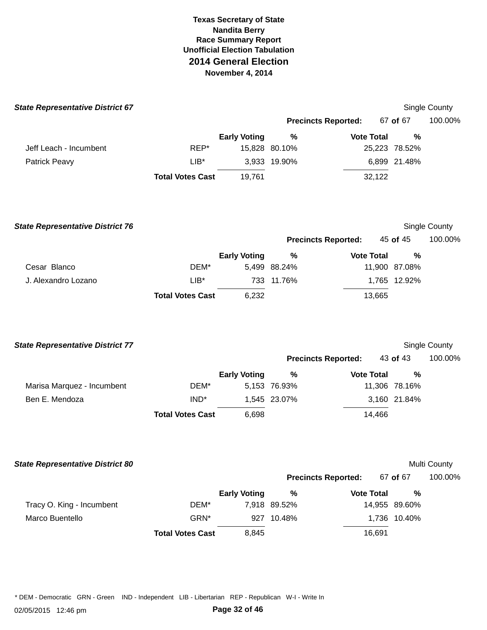| <b>State Representative District 67</b> |                         |                     |               |                            |               | Single County |
|-----------------------------------------|-------------------------|---------------------|---------------|----------------------------|---------------|---------------|
|                                         |                         |                     |               | <b>Precincts Reported:</b> | 67 of 67      | 100.00%       |
|                                         |                         | <b>Early Voting</b> | %             | <b>Vote Total</b>          | %             |               |
| Jeff Leach - Incumbent                  | REP*                    |                     | 15,828 80.10% |                            | 25,223 78.52% |               |
| Patrick Peavy                           | $LIB*$                  |                     | 3,933 19.90%  |                            | 6,899 21.48%  |               |
|                                         | <b>Total Votes Cast</b> | 19,761              |               | 32,122                     |               |               |
| <b>State Representative District 76</b> |                         |                     |               |                            |               | Single County |
|                                         |                         |                     |               | <b>Precincts Reported:</b> | 45 of 45      | 100.00%       |
|                                         |                         | <b>Early Voting</b> | %             | <b>Vote Total</b>          | %             |               |
| Cesar Blanco                            | DEM*                    |                     | 5,499 88.24%  |                            | 11,900 87.08% |               |
| J. Alexandro Lozano                     | $LIB*$                  |                     | 733 11.76%    |                            | 1,765 12.92%  |               |
|                                         | <b>Total Votes Cast</b> | 6,232               |               | 13,665                     |               |               |
| <b>State Representative District 77</b> |                         |                     |               |                            |               | Single County |
|                                         |                         |                     |               | <b>Precincts Reported:</b> | 43 of 43      | 100.00%       |
|                                         |                         | <b>Early Voting</b> | $\%$          | <b>Vote Total</b>          | %             |               |
| Marisa Marquez - Incumbent              | DEM*                    |                     | 5,153 76.93%  |                            | 11,306 78.16% |               |
| Ben E. Mendoza                          | IND <sup>*</sup>        |                     | 1,545 23.07%  |                            | 3,160 21.84%  |               |
|                                         | <b>Total Votes Cast</b> | 6,698               |               | 14,466                     |               |               |
| <b>State Representative District 80</b> |                         |                     |               |                            |               | Multi County  |
|                                         |                         |                     |               | <b>Precincts Reported:</b> | 67 of 67      | 100.00%       |
|                                         |                         | <b>Early Voting</b> | $\%$          | <b>Vote Total</b>          | $\%$          |               |
| Tracy O. King - Incumbent               | DEM*                    |                     | 7,918 89.52%  |                            | 14,955 89.60% |               |
| Marco Buentello                         | GRN*                    |                     | 927 10.48%    |                            | 1,736 10.40%  |               |

\* DEM - Democratic GRN - Green IND - Independent LIB - Libertarian REP - Republican W-I - Write In

**Total Votes Cast** 2,845 16,691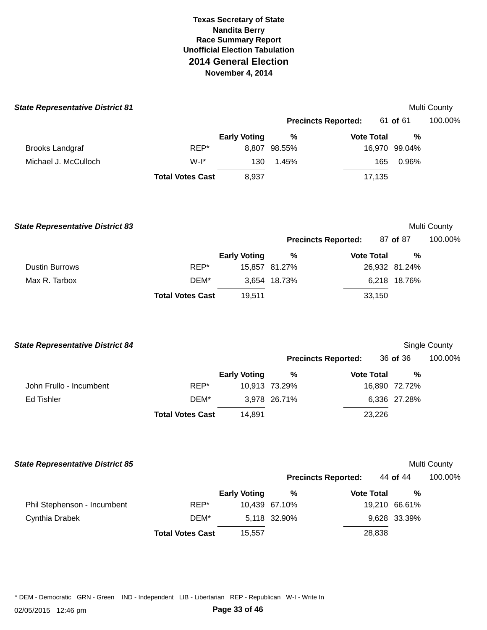| <b>State Representative District 81</b> |                         |                     |               |                            |               | Multi County  |
|-----------------------------------------|-------------------------|---------------------|---------------|----------------------------|---------------|---------------|
|                                         |                         |                     |               | <b>Precincts Reported:</b> | 61 of 61      | 100.00%       |
|                                         |                         | <b>Early Voting</b> | $\%$          | <b>Vote Total</b>          | %             |               |
| <b>Brooks Landgraf</b>                  | REP*                    |                     | 8,807 98.55%  |                            | 16,970 99.04% |               |
| Michael J. McCulloch                    | $W-I^*$                 | 130                 | 1.45%         | 165                        | 0.96%         |               |
|                                         | <b>Total Votes Cast</b> | 8,937               |               | 17,135                     |               |               |
| <b>State Representative District 83</b> |                         |                     |               |                            |               | Multi County  |
|                                         |                         |                     |               | <b>Precincts Reported:</b> | 87 of 87      | 100.00%       |
|                                         |                         | <b>Early Voting</b> | $\%$          | <b>Vote Total</b>          | %             |               |
| <b>Dustin Burrows</b>                   | REP*                    |                     | 15,857 81.27% |                            | 26,932 81.24% |               |
| Max R. Tarbox                           | DEM*                    |                     | 3,654 18.73%  |                            | 6,218 18.76%  |               |
|                                         | <b>Total Votes Cast</b> | 19,511              |               | 33,150                     |               |               |
| <b>State Representative District 84</b> |                         |                     |               |                            |               | Single County |
|                                         |                         |                     |               | <b>Precincts Reported:</b> | 36 of 36      | 100.00%       |
|                                         |                         | <b>Early Voting</b> | %             | <b>Vote Total</b>          | %             |               |
| John Frullo - Incumbent                 | REP*                    |                     | 10,913 73.29% |                            | 16,890 72.72% |               |
| <b>Ed Tishler</b>                       | DEM*                    |                     | 3,978 26.71%  |                            | 6,336 27.28%  |               |
|                                         | <b>Total Votes Cast</b> | 14,891              |               | 23,226                     |               |               |
| <b>State Representative District 85</b> |                         |                     |               |                            |               | Multi County  |
|                                         |                         |                     |               | <b>Precincts Reported:</b> | 44 of 44      | 100.00%       |
|                                         |                         | <b>Early Voting</b> | $\%$          | <b>Vote Total</b>          | $\%$          |               |
| Phil Stephenson - Incumbent             | REP*                    |                     | 10,439 67.10% |                            | 19,210 66.61% |               |
| Cynthia Drabek                          | DEM*                    |                     | 5,118 32.90%  |                            | 9,628 33.39%  |               |
|                                         | <b>Total Votes Cast</b> | 15,557              |               | 28,838                     |               |               |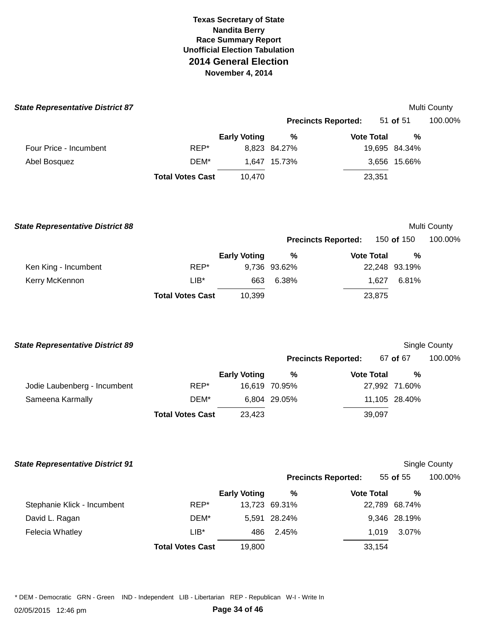| <b>State Representative District 87</b> |                         |                     |              |                            |               | <b>Multi County</b> |
|-----------------------------------------|-------------------------|---------------------|--------------|----------------------------|---------------|---------------------|
|                                         |                         |                     |              | <b>Precincts Reported:</b> | 51 of 51      | 100.00%             |
|                                         |                         | <b>Early Voting</b> | %            | <b>Vote Total</b>          | %             |                     |
| Four Price - Incumbent                  | REP*                    |                     | 8,823 84.27% |                            | 19,695 84.34% |                     |
| Abel Bosquez                            | DEM*                    |                     | 1,647 15.73% |                            | 3,656 15.66%  |                     |
|                                         | <b>Total Votes Cast</b> | 10,470              |              | 23,351                     |               |                     |
|                                         |                         |                     |              |                            |               |                     |
|                                         |                         |                     |              |                            |               |                     |

| <b>State Representative District 88</b> |                         |                     |              |                            |               | Multi County |
|-----------------------------------------|-------------------------|---------------------|--------------|----------------------------|---------------|--------------|
|                                         |                         |                     |              | <b>Precincts Reported:</b> | 150 of 150    | 100.00%      |
|                                         |                         | <b>Early Voting</b> | %            | <b>Vote Total</b>          | %             |              |
| Ken King - Incumbent                    | REP*                    |                     | 9,736 93.62% |                            | 22,248 93.19% |              |
| Kerry McKennon                          | $LIB*$                  | 663                 | 6.38%        | 1.627                      | 6.81%         |              |
|                                         | <b>Total Votes Cast</b> | 10.399              |              | 23,875                     |               |              |
|                                         |                         |                     |              |                            |               |              |

| <b>State Representative District 89</b> |                         |                     |               |                            |               | Single County |
|-----------------------------------------|-------------------------|---------------------|---------------|----------------------------|---------------|---------------|
|                                         |                         |                     |               | <b>Precincts Reported:</b> | 67 of 67      | 100.00%       |
|                                         |                         | <b>Early Voting</b> | %             | <b>Vote Total</b>          | %             |               |
| Jodie Laubenberg - Incumbent            | REP*                    |                     | 16,619 70.95% |                            | 27,992 71.60% |               |
| Sameena Karmally                        | DEM*                    |                     | 6.804 29.05%  |                            | 11,105 28.40% |               |
|                                         | <b>Total Votes Cast</b> | 23,423              |               | 39,097                     |               |               |
|                                         |                         |                     |               |                            |               |               |

| <b>State Representative District 91</b> |                         |                     |               |                            |               | <b>Single County</b> |
|-----------------------------------------|-------------------------|---------------------|---------------|----------------------------|---------------|----------------------|
|                                         |                         |                     |               | <b>Precincts Reported:</b> | 55 of 55      | 100.00%              |
|                                         |                         | <b>Early Voting</b> | %             | <b>Vote Total</b>          | %             |                      |
| Stephanie Klick - Incumbent             | REP*                    |                     | 13,723 69.31% |                            | 22,789 68.74% |                      |
| David L. Ragan                          | DEM*                    |                     | 5,591 28.24%  |                            | 9,346 28.19%  |                      |
| Felecia Whatley                         | $LIB*$                  | 486                 | 2.45%         | 1.019                      | 3.07%         |                      |
|                                         | <b>Total Votes Cast</b> | 19,800              |               | 33,154                     |               |                      |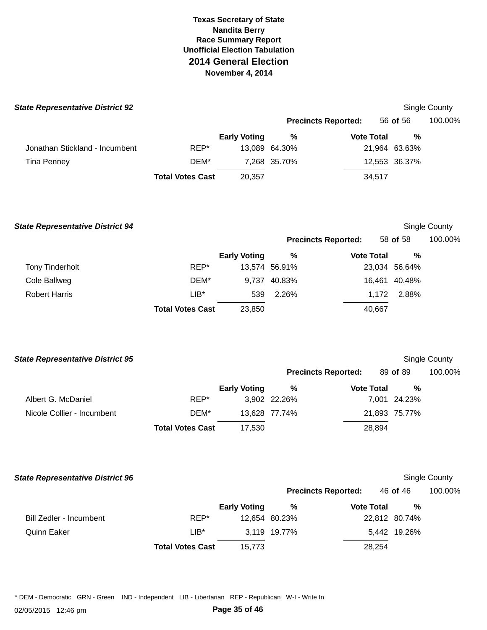| <b>State Representative District 92</b> |                         |                     |               |                            |               | Single County |
|-----------------------------------------|-------------------------|---------------------|---------------|----------------------------|---------------|---------------|
|                                         |                         |                     |               | <b>Precincts Reported:</b> | 56 of 56      | 100.00%       |
|                                         |                         | <b>Early Voting</b> | %             | <b>Vote Total</b>          | %             |               |
| Jonathan Stickland - Incumbent          | REP*                    |                     | 13.089 64.30% |                            | 21,964 63.63% |               |
| Tina Penney                             | DEM*                    |                     | 7.268 35.70%  |                            | 12,553 36.37% |               |
|                                         | <b>Total Votes Cast</b> | 20,357              |               | 34,517                     |               |               |

**Total Votes Cast** 23,850 40,667  **State Representative District 94 Precincts Reported:**  Single County 58 **of** 58 100.00% Tony Tinderholt Cole Ballweg Robert Harris REP\* DEM\* LIB\* **Early Voting**  13,574 56.91% 9,737 40.83% 539 **%**  2.26% **Vote Total**  23,034 56.64% 16,461 40.48% 1,172 2.88%

**%** 

| <b>State Representative District 95</b> |                         |                     |               |                            |               | <b>Single County</b> |
|-----------------------------------------|-------------------------|---------------------|---------------|----------------------------|---------------|----------------------|
|                                         |                         |                     |               | <b>Precincts Reported:</b> | 89 of 89      | 100.00%              |
|                                         |                         | <b>Early Voting</b> | %             | <b>Vote Total</b>          | %             |                      |
| Albert G. McDaniel                      | REP*                    |                     | 3,902 22.26%  |                            | 7,001 24.23%  |                      |
| Nicole Collier - Incumbent              | DEM*                    |                     | 13,628 77.74% |                            | 21,893 75.77% |                      |
|                                         | <b>Total Votes Cast</b> | 17.530              |               | 28,894                     |               |                      |

| <b>State Representative District 96</b> |                         |                     |               |                            |               | Single County |
|-----------------------------------------|-------------------------|---------------------|---------------|----------------------------|---------------|---------------|
|                                         |                         |                     |               | <b>Precincts Reported:</b> | 46 of 46      | 100.00%       |
|                                         |                         | <b>Early Voting</b> | %             | <b>Vote Total</b>          | %             |               |
| Bill Zedler - Incumbent                 | REP*                    |                     | 12.654 80.23% |                            | 22,812 80.74% |               |
| <b>Quinn Eaker</b>                      | $LIB*$                  |                     | 3.119 19.77%  |                            | 5,442 19.26%  |               |
|                                         | <b>Total Votes Cast</b> | 15,773              |               | 28,254                     |               |               |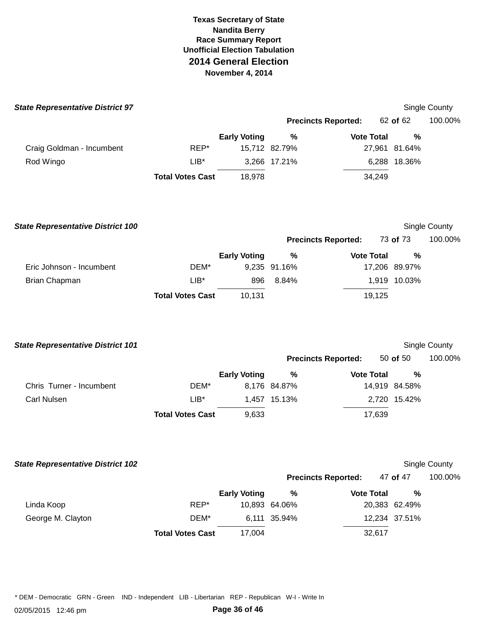| Single County |
|---------------|
| 100.00%       |
|               |
|               |
|               |
|               |
|               |
|               |

| <b>State Representative District 100</b> |                         |                     |              |                            |               | Single County |
|------------------------------------------|-------------------------|---------------------|--------------|----------------------------|---------------|---------------|
|                                          |                         |                     |              | <b>Precincts Reported:</b> | 73 of 73      | 100.00%       |
|                                          |                         | <b>Early Voting</b> | %            | <b>Vote Total</b>          | %             |               |
| Eric Johnson - Incumbent                 | DEM*                    |                     | 9,235 91.16% |                            | 17,206 89.97% |               |
| Brian Chapman                            | LIB*                    | 896                 | 8.84%        |                            | 1,919 10.03%  |               |
|                                          | <b>Total Votes Cast</b> | 10.131              |              | 19,125                     |               |               |

| <b>State Representative District 101</b> |                         |                     |              |                            |               | Single County |
|------------------------------------------|-------------------------|---------------------|--------------|----------------------------|---------------|---------------|
|                                          |                         |                     |              | <b>Precincts Reported:</b> | 50 of 50      | 100.00%       |
|                                          |                         | <b>Early Voting</b> | %            | <b>Vote Total</b>          | %             |               |
| Chris Turner - Incumbent                 | DEM*                    |                     | 8,176 84.87% |                            | 14,919 84.58% |               |
| Carl Nulsen                              | $LIB*$                  | 1.457               | 15.13%       |                            | 2,720 15.42%  |               |
|                                          | <b>Total Votes Cast</b> | 9,633               |              | 17,639                     |               |               |

|  | <b>State Representative District 102</b> |  |
|--|------------------------------------------|--|
|--|------------------------------------------|--|

# **Single County**

|                   |                         |                     |               | <b>Precincts Reported:</b> | 47 of 47      | 100.00% |
|-------------------|-------------------------|---------------------|---------------|----------------------------|---------------|---------|
|                   |                         | <b>Early Voting</b> | %             | <b>Vote Total</b>          | %             |         |
| Linda Koop        | REP*                    |                     | 10,893 64.06% |                            | 20,383 62.49% |         |
| George M. Clayton | DEM*                    |                     | 6,111 35.94%  |                            | 12,234 37.51% |         |
|                   | <b>Total Votes Cast</b> | 17.004              |               | 32,617                     |               |         |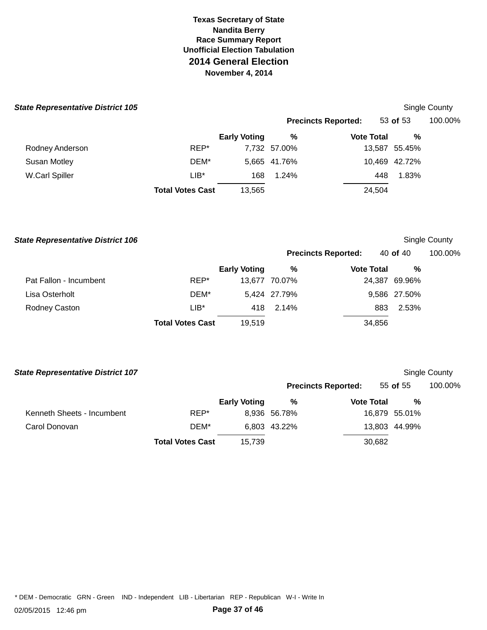| <b>State Representative District 105</b> |                         |                     |              |                            |               | <b>Single County</b> |
|------------------------------------------|-------------------------|---------------------|--------------|----------------------------|---------------|----------------------|
|                                          |                         |                     |              | <b>Precincts Reported:</b> | 53 of $53$    | 100.00%              |
|                                          |                         | <b>Early Voting</b> | %            | <b>Vote Total</b>          | %             |                      |
| Rodney Anderson                          | REP*                    |                     | 7,732 57.00% |                            | 13,587 55.45% |                      |
| <b>Susan Motley</b>                      | DEM*                    |                     | 5.665 41.76% |                            | 10,469 42.72% |                      |
| W.Carl Spiller                           | $LIB*$                  | 168                 | 1.24%        |                            | 1.83%<br>448  |                      |
|                                          | <b>Total Votes Cast</b> | 13,565              |              |                            | 24,504        |                      |

### **State Representative District 106 Single County Representative District 106 Single County** Single County

|                        |                         |                     |               | <b>Precincts Reported:</b> | 40 of 40      | 100.00% |
|------------------------|-------------------------|---------------------|---------------|----------------------------|---------------|---------|
|                        |                         | <b>Early Voting</b> | %             | <b>Vote Total</b>          | %             |         |
| Pat Fallon - Incumbent | REP*                    |                     | 13,677 70.07% |                            | 24,387 69.96% |         |
| Lisa Osterholt         | DEM*                    |                     | 5,424 27.79%  |                            | 9,586 27.50%  |         |
| Rodney Caston          | $LIB^*$                 | 418                 | 2.14%         | 883                        | 2.53%         |         |
|                        | <b>Total Votes Cast</b> | 19,519              |               | 34,856                     |               |         |

| <b>State Representative District 107</b> |                         |                     |              |                            |        |               | Single County |
|------------------------------------------|-------------------------|---------------------|--------------|----------------------------|--------|---------------|---------------|
|                                          |                         |                     |              | <b>Precincts Reported:</b> |        | 55 of 55      | 100.00%       |
|                                          |                         | <b>Early Voting</b> | %            | <b>Vote Total</b>          |        | %             |               |
| Kenneth Sheets - Incumbent               | REP*                    |                     | 8,936 56.78% |                            |        | 16,879 55.01% |               |
| Carol Donovan                            | DEM*                    |                     | 6,803 43.22% |                            |        | 13,803 44.99% |               |
|                                          | <b>Total Votes Cast</b> | 15,739              |              |                            | 30,682 |               |               |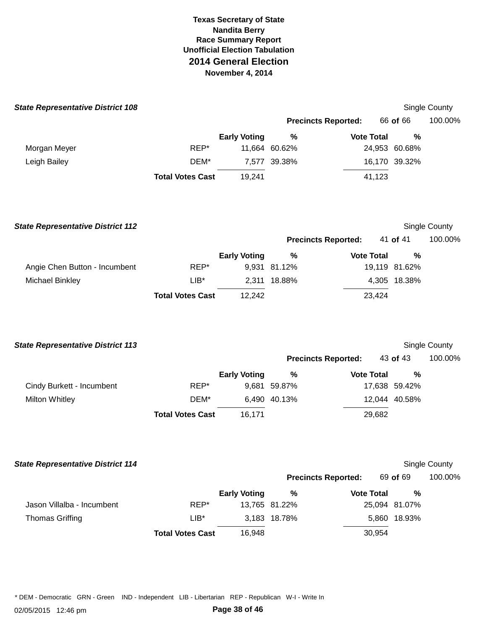| <b>State Representative District 108</b> |                         |                     |               |                            |               | Single County        |
|------------------------------------------|-------------------------|---------------------|---------------|----------------------------|---------------|----------------------|
|                                          |                         |                     |               | <b>Precincts Reported:</b> | 66 of 66      | 100.00%              |
|                                          |                         | <b>Early Voting</b> | $\%$          | <b>Vote Total</b>          | %             |                      |
| Morgan Meyer                             | REP*                    |                     | 11,664 60.62% |                            | 24,953 60.68% |                      |
| Leigh Bailey                             | DEM*                    |                     | 7,577 39.38%  |                            | 16,170 39.32% |                      |
|                                          | <b>Total Votes Cast</b> | 19,241              |               | 41,123                     |               |                      |
| <b>State Representative District 112</b> |                         |                     |               |                            |               | Single County        |
|                                          |                         |                     |               | <b>Precincts Reported:</b> | 41 of 41      | 100.00%              |
|                                          |                         | <b>Early Voting</b> | $\%$          | <b>Vote Total</b>          | %             |                      |
| Angie Chen Button - Incumbent            | REP*                    |                     | 9,931 81.12%  |                            | 19,119 81.62% |                      |
| <b>Michael Binkley</b>                   | $LIB*$                  |                     | 2,311 18.88%  |                            | 4,305 18.38%  |                      |
|                                          | <b>Total Votes Cast</b> | 12,242              |               | 23,424                     |               |                      |
| <b>State Representative District 113</b> |                         |                     |               |                            |               | Single County        |
|                                          |                         |                     |               | <b>Precincts Reported:</b> | 43 of 43      | 100.00%              |
|                                          |                         | <b>Early Voting</b> | $\%$          | <b>Vote Total</b>          | $\%$          |                      |
| Cindy Burkett - Incumbent                | REP*                    |                     | 9,681 59.87%  |                            | 17,638 59.42% |                      |
| <b>Milton Whitley</b>                    | DEM*                    |                     | 6,490 40.13%  |                            | 12,044 40.58% |                      |
|                                          | <b>Total Votes Cast</b> | 16,171              |               | 29,682                     |               |                      |
| <b>State Representative District 114</b> |                         |                     |               |                            |               | <b>Single County</b> |
|                                          |                         |                     |               | <b>Precincts Reported:</b> | 69 of 69      | 100.00%              |
|                                          |                         | <b>Early Voting</b> | $\%$          | <b>Vote Total</b>          | $\%$          |                      |
| Jason Villalba - Incumbent               | REP*                    |                     | 13,765 81.22% |                            | 25,094 81.07% |                      |
| <b>Thomas Griffing</b>                   | $LIB^*$                 |                     | 3,183 18.78%  |                            | 5,860 18.93%  |                      |

**Total Votes Cast** 16,948 30,954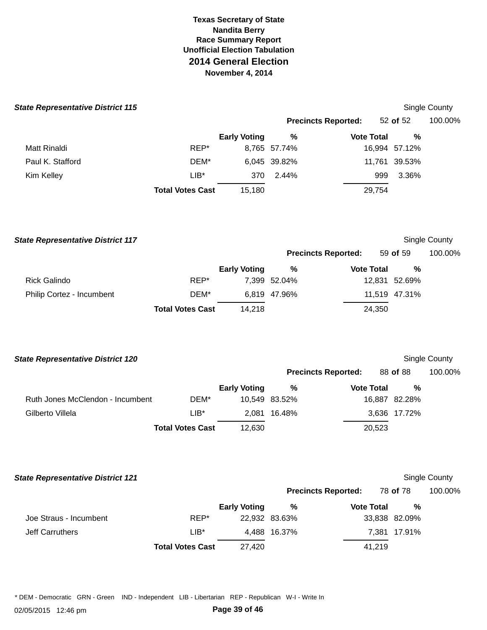|  | <b>State Representative District 115</b> |  |  |  |
|--|------------------------------------------|--|--|--|
|--|------------------------------------------|--|--|--|

| te Representative District 115 |                         |                     |              |                            |               | Single County |
|--------------------------------|-------------------------|---------------------|--------------|----------------------------|---------------|---------------|
|                                |                         |                     |              | <b>Precincts Reported:</b> | 52 of 52      | 100.00%       |
|                                |                         | <b>Early Voting</b> | %            | <b>Vote Total</b>          | %             |               |
| Matt Rinaldi                   | REP*                    |                     | 8,765 57.74% |                            | 16,994 57.12% |               |
| Paul K. Stafford               | DEM*                    |                     | 6,045 39.82% |                            | 11,761 39.53% |               |
| Kim Kelley                     | $LIB*$                  | 370                 | 2.44%        | 999                        | 3.36%         |               |
|                                | <b>Total Votes Cast</b> | 15,180              |              | 29,754                     |               |               |

| <b>State Representative District 117</b> |                         |                     |              |                            |        |               | Single County |
|------------------------------------------|-------------------------|---------------------|--------------|----------------------------|--------|---------------|---------------|
|                                          |                         |                     |              | <b>Precincts Reported:</b> |        | 59 of 59      | 100.00%       |
|                                          |                         | <b>Early Voting</b> | %            | <b>Vote Total</b>          |        | %             |               |
| Rick Galindo                             | REP*                    |                     | 7.399 52.04% |                            |        | 12,831 52.69% |               |
| Philip Cortez - Incumbent                | DEM*                    |                     | 6.819 47.96% |                            |        | 11,519 47.31% |               |
|                                          | <b>Total Votes Cast</b> | 14.218              |              |                            | 24,350 |               |               |

| <b>State Representative District 120</b> |                         |                     |               |                            |               | <b>Single County</b> |
|------------------------------------------|-------------------------|---------------------|---------------|----------------------------|---------------|----------------------|
|                                          |                         |                     |               | <b>Precincts Reported:</b> | 88 of 88      | 100.00%              |
|                                          |                         | <b>Early Voting</b> | %             | <b>Vote Total</b>          | %             |                      |
| Ruth Jones McClendon - Incumbent         | DEM*                    |                     | 10.549 83.52% |                            | 16,887 82.28% |                      |
| Gilberto Villela                         | $LIB^*$                 | 2.081               | 16.48%        |                            | 3,636 17.72%  |                      |
|                                          | <b>Total Votes Cast</b> | 12,630              |               | 20,523                     |               |                      |

| <b>State Representative District 121</b> |                         |                     |               |                            |               | Single County |
|------------------------------------------|-------------------------|---------------------|---------------|----------------------------|---------------|---------------|
|                                          |                         |                     |               | <b>Precincts Reported:</b> | 78 of 78      | 100.00%       |
|                                          |                         | <b>Early Voting</b> | %             | <b>Vote Total</b>          | %             |               |
| Joe Straus - Incumbent                   | REP*                    |                     | 22,932 83.63% |                            | 33,838 82.09% |               |
| <b>Jeff Carruthers</b>                   | $LIB*$                  |                     | 4.488 16.37%  |                            | 7,381 17.91%  |               |
|                                          | <b>Total Votes Cast</b> | 27.420              |               | 41.219                     |               |               |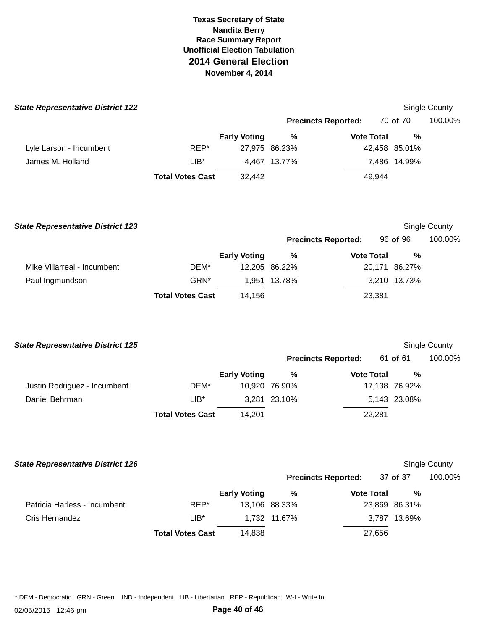| <b>State Representative District 122</b> |                         |                     |               |                            |               | Single County |
|------------------------------------------|-------------------------|---------------------|---------------|----------------------------|---------------|---------------|
|                                          |                         |                     |               | <b>Precincts Reported:</b> | 70 of 70      | 100.00%       |
|                                          |                         | <b>Early Voting</b> | %             | <b>Vote Total</b>          | %             |               |
| Lyle Larson - Incumbent                  | REP*                    |                     | 27,975 86.23% |                            | 42,458 85.01% |               |
| James M. Holland                         | $LIB*$                  | 4,467               | 13.77%        |                            | 7,486 14.99%  |               |
|                                          | <b>Total Votes Cast</b> | 32,442              |               | 49,944                     |               |               |
|                                          |                         |                     |               |                            |               |               |
|                                          |                         |                     |               |                            |               |               |

|      |                     |                         |                               |                            |                             | Single County                             |
|------|---------------------|-------------------------|-------------------------------|----------------------------|-----------------------------|-------------------------------------------|
|      |                     |                         |                               |                            |                             | 100.00%                                   |
|      | <b>Early Voting</b> | %                       |                               |                            | %                           |                                           |
| DEM* |                     |                         |                               |                            |                             |                                           |
| GRN* |                     |                         |                               |                            |                             |                                           |
|      | 14.156              |                         |                               |                            |                             |                                           |
|      |                     | <b>Total Votes Cast</b> | 12,205 86.22%<br>1.951 13.78% | <b>Precincts Reported:</b> | <b>Vote Total</b><br>23,381 | 96 of 96<br>20,171 86.27%<br>3,210 13.73% |

| <b>State Representative District 125</b> |                         |                     |               |                            |               | Single County |
|------------------------------------------|-------------------------|---------------------|---------------|----------------------------|---------------|---------------|
|                                          |                         |                     |               | <b>Precincts Reported:</b> | 61 of 61      | 100.00%       |
|                                          |                         | <b>Early Voting</b> | %             | <b>Vote Total</b>          | %             |               |
| Justin Rodriguez - Incumbent             | DEM*                    |                     | 10.920 76.90% |                            | 17,138 76.92% |               |
| Daniel Behrman                           | $LIB*$                  |                     | 3.281 23.10%  |                            | 5,143 23.08%  |               |
|                                          | <b>Total Votes Cast</b> | 14.201              |               | 22.281                     |               |               |

### **State Representative District 126 Single County County County County County County County County County County**

|                              |                         |                     | <b>Precincts Reported:</b> |                   | 37 of 37      | 100.00% |
|------------------------------|-------------------------|---------------------|----------------------------|-------------------|---------------|---------|
|                              |                         | <b>Early Voting</b> | %                          | <b>Vote Total</b> | %             |         |
| Patricia Harless - Incumbent | REP*                    |                     | 13,106 88.33%              |                   | 23,869 86.31% |         |
| Cris Hernandez               | $LIB*$                  |                     | 1,732 11.67%               |                   | 3,787 13.69%  |         |
|                              | <b>Total Votes Cast</b> | 14.838              |                            | 27,656            |               |         |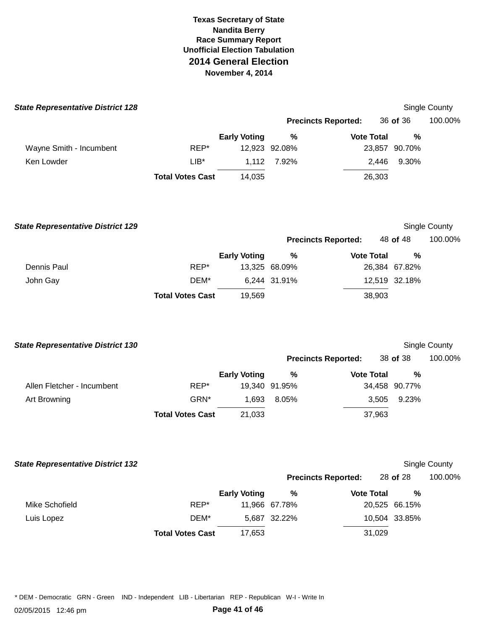| <b>State Representative District 128</b> |                         |                     |               |                            |               | Single County |
|------------------------------------------|-------------------------|---------------------|---------------|----------------------------|---------------|---------------|
|                                          |                         |                     |               | <b>Precincts Reported:</b> | 36 of 36      | 100.00%       |
|                                          |                         | <b>Early Voting</b> | $\%$          | <b>Vote Total</b>          | %             |               |
| Wayne Smith - Incumbent                  | REP*                    |                     | 12,923 92.08% |                            | 23,857 90.70% |               |
| Ken Lowder                               | $LIB^*$                 | 1,112               | 7.92%         | 2,446                      | 9.30%         |               |
|                                          | <b>Total Votes Cast</b> | 14,035              |               | 26,303                     |               |               |
| <b>State Representative District 129</b> |                         |                     |               |                            |               | Single County |
|                                          |                         |                     |               | <b>Precincts Reported:</b> | 48 of 48      | 100.00%       |
|                                          |                         | <b>Early Voting</b> | $\%$          | <b>Vote Total</b>          | $\%$          |               |
| Dennis Paul                              | REP*                    |                     | 13,325 68.09% |                            | 26,384 67.82% |               |
| John Gay                                 | DEM*                    |                     | 6,244 31.91%  |                            | 12,519 32.18% |               |
|                                          | <b>Total Votes Cast</b> | 19,569              |               | 38,903                     |               |               |
| <b>State Representative District 130</b> |                         |                     |               |                            |               | Single County |
|                                          |                         |                     |               | <b>Precincts Reported:</b> | 38 of 38      | 100.00%       |
|                                          |                         | <b>Early Voting</b> | $\%$          | <b>Vote Total</b>          | $\%$          |               |
| Allen Fletcher - Incumbent               | REP*                    |                     | 19,340 91.95% |                            | 34,458 90.77% |               |
| Art Browning                             | GRN*                    | 1,693               | 8.05%         | 3,505                      | 9.23%         |               |
|                                          | <b>Total Votes Cast</b> | 21,033              |               | 37,963                     |               |               |
| <b>State Representative District 132</b> |                         |                     |               |                            |               | Single County |
|                                          |                         |                     |               | <b>Precincts Reported:</b> | 28 of 28      | 100.00%       |
|                                          |                         | <b>Early Voting</b> | $\%$          | <b>Vote Total</b>          | $\%$          |               |
| Mike Schofield                           | REP*                    |                     | 11,966 67.78% |                            | 20,525 66.15% |               |
| Luis Lopez                               | DEM*                    |                     | 5,687 32.22%  |                            | 10,504 33.85% |               |

**Total Votes Cast** 17,653 31,029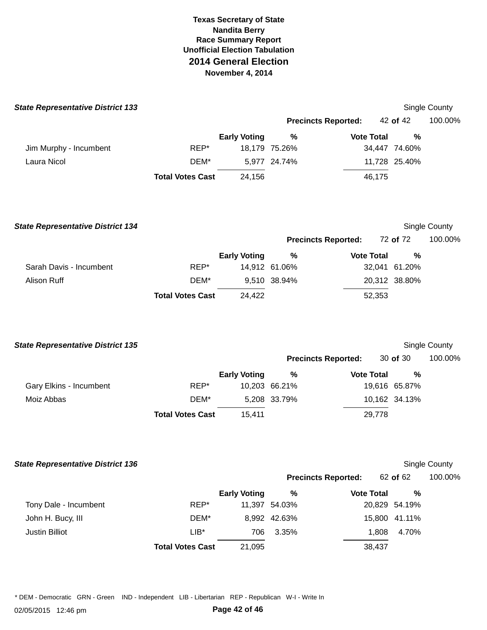| <b>State Representative District 133</b> |                         |                     |               |                            |               | Single County |
|------------------------------------------|-------------------------|---------------------|---------------|----------------------------|---------------|---------------|
|                                          |                         |                     |               | <b>Precincts Reported:</b> | 42 of 42      | 100.00%       |
|                                          |                         | <b>Early Voting</b> | %             | <b>Vote Total</b>          | %             |               |
| Jim Murphy - Incumbent                   | REP*                    |                     | 18,179 75.26% |                            | 34,447 74.60% |               |
| Laura Nicol                              | DEM*                    |                     | 5,977 24.74%  |                            | 11,728 25.40% |               |
|                                          | <b>Total Votes Cast</b> | 24.156              |               | 46,175                     |               |               |
|                                          |                         |                     |               |                            |               |               |

| <b>State Representative District 134</b> |                         |                     |               |                            |        |               | Single County |
|------------------------------------------|-------------------------|---------------------|---------------|----------------------------|--------|---------------|---------------|
|                                          |                         |                     |               | <b>Precincts Reported:</b> |        | 72 of 72      | 100.00%       |
|                                          |                         | <b>Early Voting</b> | %             | <b>Vote Total</b>          |        | %             |               |
| Sarah Davis - Incumbent                  | REP*                    |                     | 14.912 61.06% |                            |        | 32,041 61.20% |               |
| Alison Ruff                              | DEM*                    |                     | 9,510 38.94%  |                            |        | 20,312 38.80% |               |
|                                          | <b>Total Votes Cast</b> | 24.422              |               |                            | 52,353 |               |               |

| <b>State Representative District 135</b> |                         |                     |               |                            |               | Single County |
|------------------------------------------|-------------------------|---------------------|---------------|----------------------------|---------------|---------------|
|                                          |                         |                     |               | <b>Precincts Reported:</b> | $30$ of $30$  | 100.00%       |
|                                          |                         | <b>Early Voting</b> | %             | <b>Vote Total</b>          |               | %             |
| Gary Elkins - Incumbent                  | REP*                    |                     | 10,203 66.21% |                            | 19,616 65.87% |               |
| Moiz Abbas                               | DEM*                    |                     | 5,208 33.79%  |                            | 10,162 34.13% |               |
|                                          | <b>Total Votes Cast</b> | 15.411              |               | 29,778                     |               |               |

### **State Representative District 136**

# Single County

|                       |                         |                     |               | <b>Precincts Reported:</b> | 62 of 62      | 100.00% |
|-----------------------|-------------------------|---------------------|---------------|----------------------------|---------------|---------|
|                       |                         | <b>Early Voting</b> | %             | <b>Vote Total</b>          | %             |         |
| Tony Dale - Incumbent | REP*                    |                     | 11,397 54.03% |                            | 20,829 54.19% |         |
| John H. Bucy, III     | DEM*                    |                     | 8.992 42.63%  |                            | 15,800 41.11% |         |
| <b>Justin Billiot</b> | $LIB^*$                 | 706                 | 3.35%         | 1.808                      | 4.70%         |         |
|                       | <b>Total Votes Cast</b> | 21,095              |               | 38,437                     |               |         |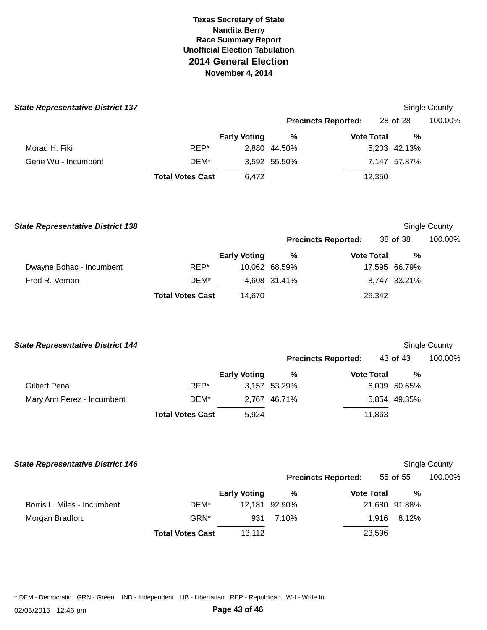| <b>State Representative District 137</b> |                         |                     |                            |                   |               | Single County |
|------------------------------------------|-------------------------|---------------------|----------------------------|-------------------|---------------|---------------|
|                                          |                         |                     | <b>Precincts Reported:</b> |                   | 28 of 28      | 100.00%       |
|                                          |                         | <b>Early Voting</b> | %                          | <b>Vote Total</b> | $\frac{0}{0}$ |               |
| Morad H. Fiki                            | REP*                    |                     | 2,880 44.50%               |                   | 5,203 42.13%  |               |
| Gene Wu - Incumbent                      | DEM*                    |                     | 3,592 55.50%               |                   | 7,147 57.87%  |               |
|                                          | <b>Total Votes Cast</b> | 6,472               |                            | 12,350            |               |               |
| <b>State Representative District 138</b> |                         |                     |                            |                   |               | Single County |
|                                          |                         |                     | <b>Precincts Reported:</b> |                   | 38 of 38      | 100.00%       |
|                                          |                         | <b>Early Voting</b> | $\%$                       | <b>Vote Total</b> | $\frac{0}{0}$ |               |
| Dwayne Bohac - Incumbent                 | REP*                    |                     | 10,062 68.59%              |                   | 17,595 66.79% |               |
| Fred R. Vernon                           | DEM*                    |                     | 4,608 31.41%               |                   | 8,747 33.21%  |               |
|                                          | <b>Total Votes Cast</b> | 14,670              |                            | 26,342            |               |               |
| <b>State Representative District 144</b> |                         |                     |                            |                   |               | Single County |
|                                          |                         |                     | <b>Precincts Reported:</b> |                   | 43 of 43      | 100.00%       |
|                                          |                         | <b>Early Voting</b> | $\%$                       | <b>Vote Total</b> | %             |               |
| Gilbert Pena                             | REP*                    |                     | 3,157 53.29%               |                   | 6,009 50.65%  |               |
| Mary Ann Perez - Incumbent               | DEM*                    |                     | 2,767 46.71%               |                   | 5,854 49.35%  |               |
|                                          | <b>Total Votes Cast</b> | 5,924               |                            | 11,863            |               |               |

### **State Representative District 146 Single County County County County County County County County County County**

|                             |                         |                     | <b>Precincts Reported:</b> |                   | 55 of 55      | 100.00% |
|-----------------------------|-------------------------|---------------------|----------------------------|-------------------|---------------|---------|
|                             |                         | <b>Early Voting</b> | %                          | <b>Vote Total</b> | %             |         |
| Borris L. Miles - Incumbent | DEM*                    |                     | 12,181 92.90%              |                   | 21,680 91.88% |         |
| Morgan Bradford             | GRN*                    | 931                 | 7.10%                      | 1.916             | 8.12%         |         |
|                             | <b>Total Votes Cast</b> | 13,112              |                            | 23,596            |               |         |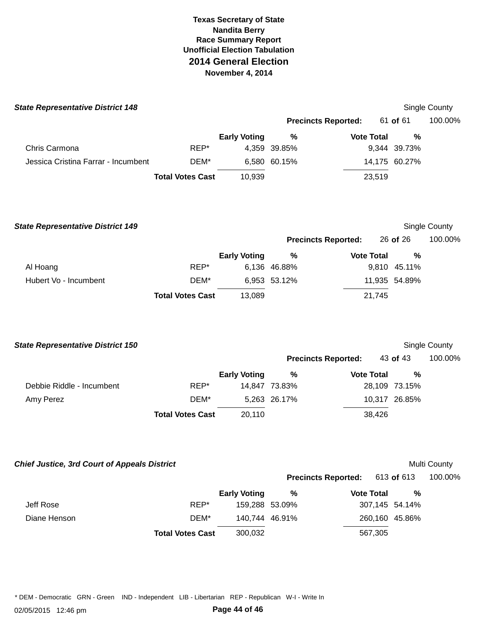| <b>State Representative District 148</b> |                         |                     |              |                            |               | Single County        |
|------------------------------------------|-------------------------|---------------------|--------------|----------------------------|---------------|----------------------|
|                                          |                         |                     |              | <b>Precincts Reported:</b> | 61 of 61      | 100.00%              |
|                                          |                         | <b>Early Voting</b> | %            | <b>Vote Total</b>          | %             |                      |
| Chris Carmona                            | REP*                    |                     | 4,359 39.85% |                            | 9,344 39.73%  |                      |
| Jessica Cristina Farrar - Incumbent      | DEM*                    |                     | 6,580 60.15% |                            | 14,175 60.27% |                      |
|                                          | <b>Total Votes Cast</b> | 10,939              |              | 23,519                     |               |                      |
| <b>State Representative District 149</b> |                         |                     |              |                            |               | <b>Single County</b> |
|                                          |                         |                     |              | <b>Precincts Reported:</b> | $26$ of $26$  | 100.00%              |

|                       |                         | <b>Early Voting</b> | %            | <b>Vote Total</b> | %             |
|-----------------------|-------------------------|---------------------|--------------|-------------------|---------------|
| Al Hoang              | REP*                    |                     | 6,136 46.88% |                   | 9,810 45.11%  |
| Hubert Vo - Incumbent | DEM*                    |                     | 6,953 53.12% |                   | 11,935 54.89% |
|                       | <b>Total Votes Cast</b> | 13,089              |              | 21.745            |               |

| <b>State Representative District 150</b> |                         |                     |               |                            | <b>Single County</b> |         |  |
|------------------------------------------|-------------------------|---------------------|---------------|----------------------------|----------------------|---------|--|
|                                          |                         |                     |               | <b>Precincts Reported:</b> | 43 of 43             | 100.00% |  |
|                                          |                         | <b>Early Voting</b> | %             | <b>Vote Total</b>          | %                    |         |  |
| Debbie Riddle - Incumbent                | REP*                    |                     | 14,847 73.83% |                            | 28,109 73.15%        |         |  |
| Amy Perez                                | DEM*                    |                     | 5,263 26.17%  |                            | 10,317 26.85%        |         |  |
|                                          | <b>Total Votes Cast</b> | 20,110              |               | 38,426                     |                      |         |  |

 **Chief Justice, 3rd Court of Appeals District** 

# Multi County

|              |                         |                     | <b>Precincts Reported:</b> 613 of 613 |                   |                | 100.00% |
|--------------|-------------------------|---------------------|---------------------------------------|-------------------|----------------|---------|
|              |                         | <b>Early Voting</b> | %                                     | <b>Vote Total</b> | %              |         |
| Jeff Rose    | REP*                    | 159,288 53.09%      |                                       |                   | 307,145 54.14% |         |
| Diane Henson | DEM*                    |                     | 140.744 46.91%                        |                   | 260,160 45.86% |         |
|              | <b>Total Votes Cast</b> | 300.032             |                                       | 567,305           |                |         |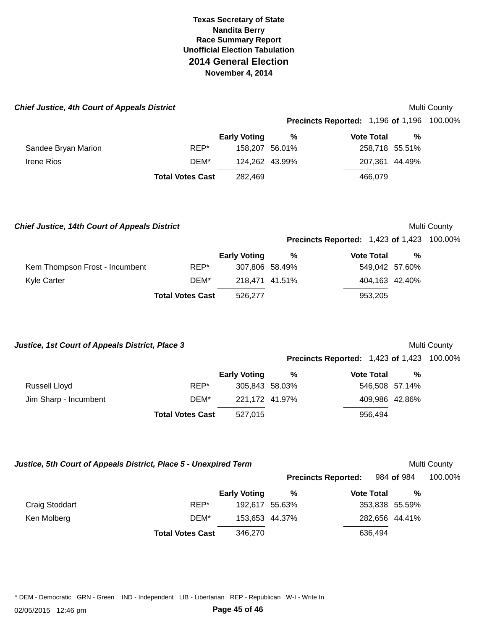| <b>Chief Justice, 4th Court of Appeals District</b> |                         |                     |        |                                                   |   | <b>Multi County</b> |
|-----------------------------------------------------|-------------------------|---------------------|--------|---------------------------------------------------|---|---------------------|
|                                                     |                         |                     |        | <b>Precincts Reported: 1,196 of 1,196 100.00%</b> |   |                     |
|                                                     |                         | <b>Early Voting</b> | %      | <b>Vote Total</b>                                 | % |                     |
| Sandee Bryan Marion                                 | REP*                    | 158.207             | 56.01% | 258,718 55.51%                                    |   |                     |
| <b>Irene Rios</b>                                   | DEM*                    | 124,262 43.99%      |        | 207.361 44.49%                                    |   |                     |
|                                                     | <b>Total Votes Cast</b> | 282,469             |        | 466,079                                           |   |                     |
|                                                     |                         |                     |        |                                                   |   |                     |
|                                                     |                         |                     |        |                                                   |   |                     |

 **Chief Justice, 14th Court of Appeals District** 

# Multi County

**Precincts Reported:**  1,423 **of** 1,423 100.00%

|                                |                         | <b>Early Voting</b> | % | <b>Vote Total</b> | % |
|--------------------------------|-------------------------|---------------------|---|-------------------|---|
| Kem Thompson Frost - Incumbent | REP*                    | 307,806 58.49%      |   | 549,042 57.60%    |   |
| Kyle Carter                    | DEM*                    | 218.471 41.51%      |   | 404,163 42.40%    |   |
|                                | <b>Total Votes Cast</b> | 526.277             |   | 953.205           |   |

 **Justice, 1st Court of Appeals District, Place 3** 

# Multi County

**Precincts Reported:**  1,423 **of** 1,423 100.00%

|                       |                         | <b>Early Voting</b> | ℅ | <b>Vote Total</b> | % |
|-----------------------|-------------------------|---------------------|---|-------------------|---|
| Russell Lloyd         | REP*                    | 305,843 58.03%      |   | 546,508 57.14%    |   |
| Jim Sharp - Incumbent | DEM*                    | 221.172 41.97%      |   | 409,986 42.86%    |   |
|                       | <b>Total Votes Cast</b> | 527.015             |   | 956.494           |   |

 **Justice, 5th Court of Appeals District, Place 5 - Unexpired Term** 

# Multi County

|                |                         |                     | <b>Precincts Reported:</b> |                   | 984 of 984     | 100.00% |
|----------------|-------------------------|---------------------|----------------------------|-------------------|----------------|---------|
|                |                         | <b>Early Voting</b> | %                          | <b>Vote Total</b> | %              |         |
| Craig Stoddart | REP*                    |                     | 192,617 55.63%             |                   | 353,838 55.59% |         |
| Ken Molberg    | DEM*                    |                     | 153,653 44.37%             |                   | 282,656 44.41% |         |
|                | <b>Total Votes Cast</b> | 346,270             |                            | 636,494           |                |         |